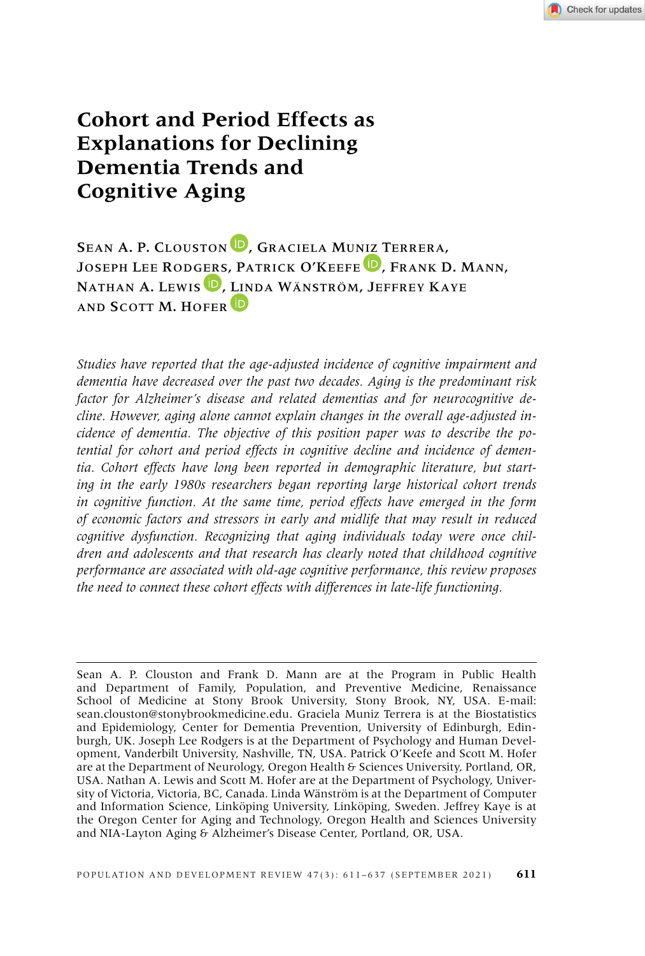

# **Cohort and Period Effects as Explanations for Declining Dementia Trends and Cognitive Aging**

SEAN A. P. CLOUSTON D[,](https://orcid.org/0000-0002-6124-0329) GRACIELA MU[NIZ](https://orcid.org/0000-0002-5343-0130) TERRERA, JOSEPH LEE ROD[GERS](https://orcid.org/0000-0002-9426-292X), PATRICK O'KEEFE<sup>D</sup>, FRANK D. MANN, NATHAN A. LEWIS<sup>D</sup>, [LIN](https://orcid.org/0000-0001-8923-4337)DA WÄNSTRÖM, JEFFREY KAYE AND SCOTT M. HOFER<sup>D</sup>

*Studies have reported that the age-adjusted incidence of cognitive impairment and dementia have decreased over the past two decades. Aging is the predominant risk factor for Alzheimer's disease and related dementias and for neurocognitive decline. However, aging alone cannot explain changes in the overall age-adjusted incidence of dementia. The objective of this position paper was to describe the potential for cohort and period effects in cognitive decline and incidence of dementia. Cohort effects have long been reported in demographic literature, but starting in the early 1980s researchers began reporting large historical cohort trends in cognitive function. At the same time, period effects have emerged in the form of economic factors and stressors in early and midlife that may result in reduced cognitive dysfunction. Recognizing that aging individuals today were once children and adolescents and that research has clearly noted that childhood cognitive performance are associated with old-age cognitive performance, this review proposes the need to connect these cohort effects with differences in late-life functioning.*

Sean A. P. Clouston and Frank D. Mann are at the Program in Public Health and Department of Family, Population, and Preventive Medicine, Renaissance School of Medicine at Stony Brook University, Stony Brook, NY, USA. E-mail: sean.clouston@stonybrookmedicine.edu. Graciela Muniz Terrera is at the Biostatistics and Epidemiology, Center for Dementia Prevention, University of Edinburgh, Edinburgh, UK. Joseph Lee Rodgers is at the Department of Psychology and Human Development, Vanderbilt University, Nashville, TN, USA. Patrick O'Keefe and Scott M. Hofer are at the Department of Neurology, Oregon Health & Sciences University, Portland, OR, USA. Nathan A. Lewis and Scott M. Hofer are at the Department of Psychology, University of Victoria, Victoria, BC, Canada. Linda Wänström is at the Department of Computer and Information Science, Linköping University, Linköping, Sweden. Jeffrey Kaye is at the Oregon Center for Aging and Technology, Oregon Health and Sciences University and NIA-Layton Aging & Alzheimer's Disease Center, Portland, OR, USA.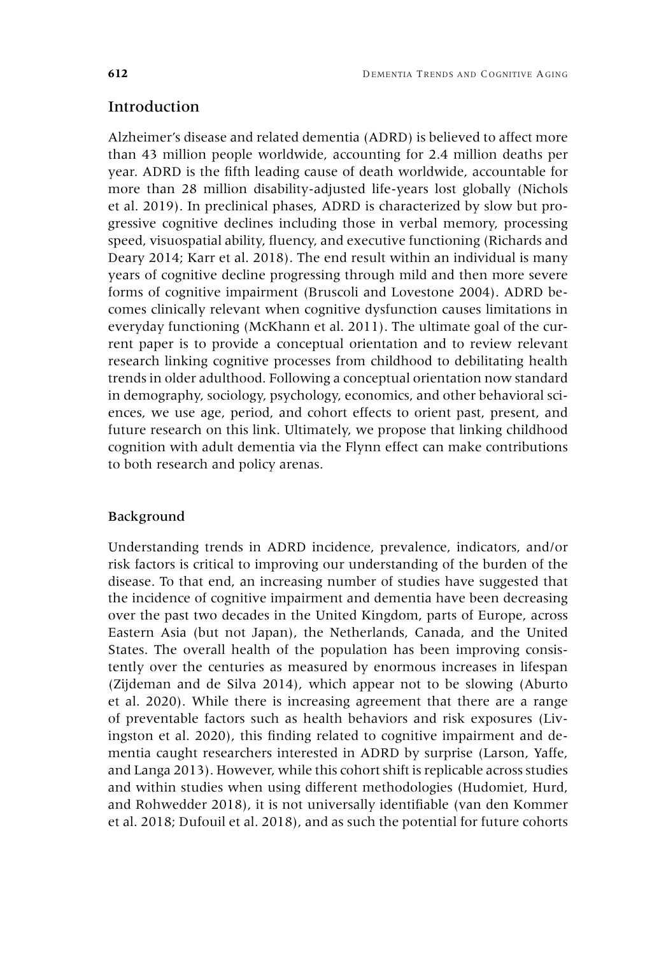# Introduction

Alzheimer's disease and related dementia (ADRD) is believed to affect more than 43 million people worldwide, accounting for 2.4 million deaths per year. ADRD is the fifth leading cause of death worldwide, accountable for more than 28 million disability-adjusted life-years lost globally (Nichols et al. 2019). In preclinical phases, ADRD is characterized by slow but progressive cognitive declines including those in verbal memory, processing speed, visuospatial ability, fluency, and executive functioning (Richards and Deary 2014; Karr et al. 2018). The end result within an individual is many years of cognitive decline progressing through mild and then more severe forms of cognitive impairment (Bruscoli and Lovestone 2004). ADRD becomes clinically relevant when cognitive dysfunction causes limitations in everyday functioning (McKhann et al. 2011). The ultimate goal of the current paper is to provide a conceptual orientation and to review relevant research linking cognitive processes from childhood to debilitating health trends in older adulthood. Following a conceptual orientation now standard in demography, sociology, psychology, economics, and other behavioral sciences, we use age, period, and cohort effects to orient past, present, and future research on this link. Ultimately, we propose that linking childhood cognition with adult dementia via the Flynn effect can make contributions to both research and policy arenas.

## Background

Understanding trends in ADRD incidence, prevalence, indicators, and/or risk factors is critical to improving our understanding of the burden of the disease. To that end, an increasing number of studies have suggested that the incidence of cognitive impairment and dementia have been decreasing over the past two decades in the United Kingdom, parts of Europe, across Eastern Asia (but not Japan), the Netherlands, Canada, and the United States. The overall health of the population has been improving consistently over the centuries as measured by enormous increases in lifespan (Zijdeman and de Silva 2014), which appear not to be slowing (Aburto et al. 2020). While there is increasing agreement that there are a range of preventable factors such as health behaviors and risk exposures (Livingston et al. 2020), this finding related to cognitive impairment and dementia caught researchers interested in ADRD by surprise (Larson, Yaffe, and Langa 2013). However, while this cohort shift is replicable across studies and within studies when using different methodologies (Hudomiet, Hurd, and Rohwedder 2018), it is not universally identifiable (van den Kommer et al. 2018; Dufouil et al. 2018), and as such the potential for future cohorts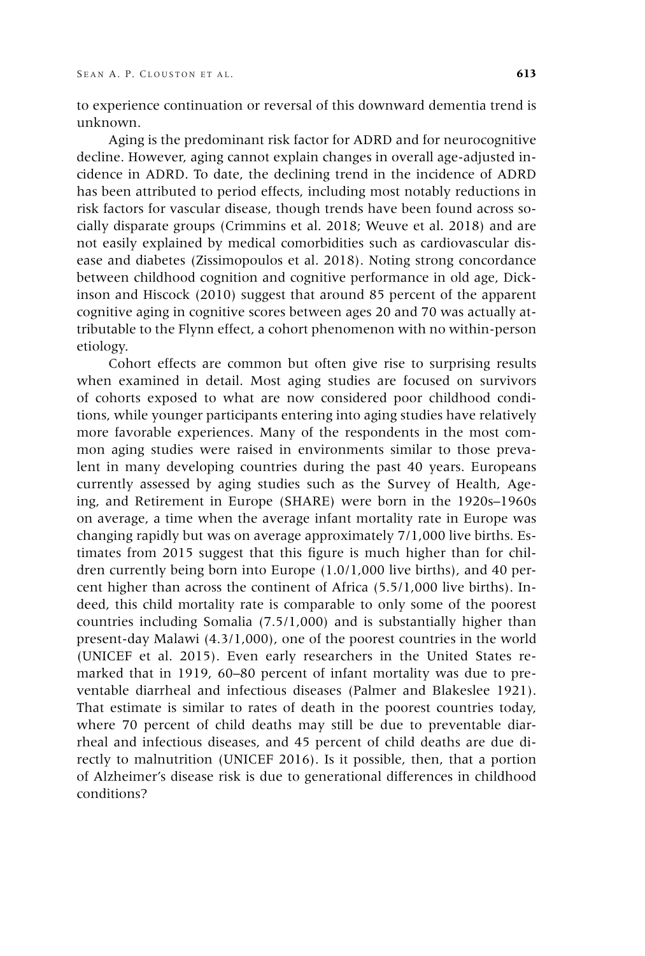to experience continuation or reversal of this downward dementia trend is unknown.

Aging is the predominant risk factor for ADRD and for neurocognitive decline. However, aging cannot explain changes in overall age-adjusted incidence in ADRD. To date, the declining trend in the incidence of ADRD has been attributed to period effects, including most notably reductions in risk factors for vascular disease, though trends have been found across socially disparate groups (Crimmins et al. 2018; Weuve et al. 2018) and are not easily explained by medical comorbidities such as cardiovascular disease and diabetes (Zissimopoulos et al. 2018). Noting strong concordance between childhood cognition and cognitive performance in old age, Dickinson and Hiscock (2010) suggest that around 85 percent of the apparent cognitive aging in cognitive scores between ages 20 and 70 was actually attributable to the Flynn effect, a cohort phenomenon with no within-person etiology.

Cohort effects are common but often give rise to surprising results when examined in detail. Most aging studies are focused on survivors of cohorts exposed to what are now considered poor childhood conditions, while younger participants entering into aging studies have relatively more favorable experiences. Many of the respondents in the most common aging studies were raised in environments similar to those prevalent in many developing countries during the past 40 years. Europeans currently assessed by aging studies such as the Survey of Health, Ageing, and Retirement in Europe (SHARE) were born in the 1920s–1960s on average, a time when the average infant mortality rate in Europe was changing rapidly but was on average approximately 7/1,000 live births. Estimates from 2015 suggest that this figure is much higher than for children currently being born into Europe (1.0/1,000 live births), and 40 percent higher than across the continent of Africa (5.5/1,000 live births). Indeed, this child mortality rate is comparable to only some of the poorest countries including Somalia (7.5/1,000) and is substantially higher than present-day Malawi (4.3/1,000), one of the poorest countries in the world (UNICEF et al. 2015). Even early researchers in the United States remarked that in 1919, 60–80 percent of infant mortality was due to preventable diarrheal and infectious diseases (Palmer and Blakeslee 1921). That estimate is similar to rates of death in the poorest countries today, where 70 percent of child deaths may still be due to preventable diarrheal and infectious diseases, and 45 percent of child deaths are due directly to malnutrition (UNICEF 2016). Is it possible, then, that a portion of Alzheimer's disease risk is due to generational differences in childhood conditions?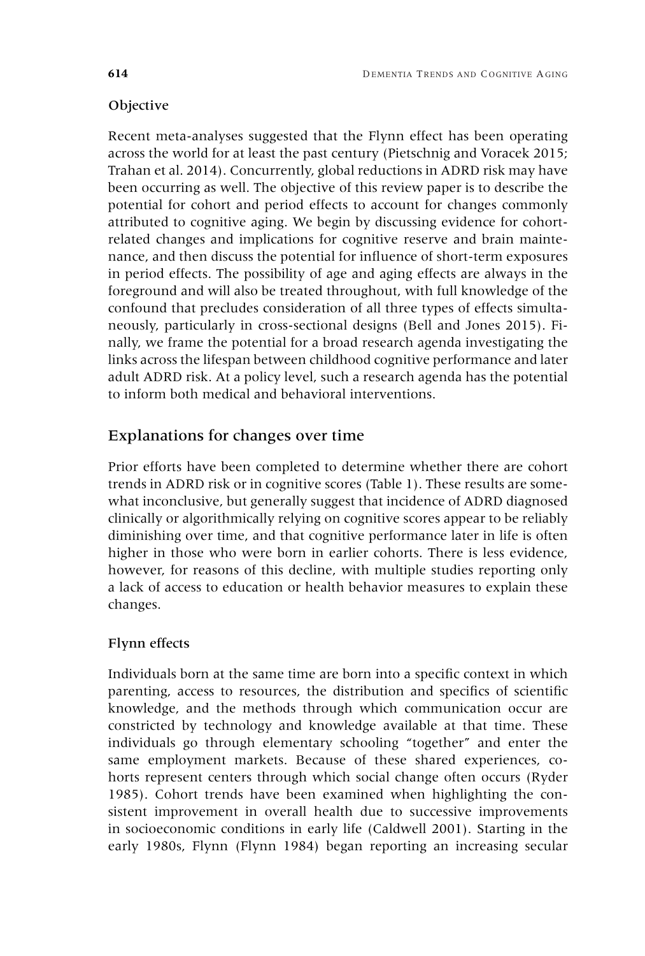#### Objective

Recent meta-analyses suggested that the Flynn effect has been operating across the world for at least the past century (Pietschnig and Voracek 2015; Trahan et al. 2014). Concurrently, global reductions in ADRD risk may have been occurring as well. The objective of this review paper is to describe the potential for cohort and period effects to account for changes commonly attributed to cognitive aging. We begin by discussing evidence for cohortrelated changes and implications for cognitive reserve and brain maintenance, and then discuss the potential for influence of short-term exposures in period effects. The possibility of age and aging effects are always in the foreground and will also be treated throughout, with full knowledge of the confound that precludes consideration of all three types of effects simultaneously, particularly in cross-sectional designs (Bell and Jones 2015). Finally, we frame the potential for a broad research agenda investigating the links across the lifespan between childhood cognitive performance and later adult ADRD risk. At a policy level, such a research agenda has the potential to inform both medical and behavioral interventions.

# Explanations for changes over time

Prior efforts have been completed to determine whether there are cohort trends in ADRD risk or in cognitive scores (Table 1). These results are somewhat inconclusive, but generally suggest that incidence of ADRD diagnosed clinically or algorithmically relying on cognitive scores appear to be reliably diminishing over time, and that cognitive performance later in life is often higher in those who were born in earlier cohorts. There is less evidence, however, for reasons of this decline, with multiple studies reporting only a lack of access to education or health behavior measures to explain these changes.

## Flynn effects

Individuals born at the same time are born into a specific context in which parenting, access to resources, the distribution and specifics of scientific knowledge, and the methods through which communication occur are constricted by technology and knowledge available at that time. These individuals go through elementary schooling "together" and enter the same employment markets. Because of these shared experiences, cohorts represent centers through which social change often occurs (Ryder 1985). Cohort trends have been examined when highlighting the consistent improvement in overall health due to successive improvements in socioeconomic conditions in early life (Caldwell 2001). Starting in the early 1980s, Flynn (Flynn 1984) began reporting an increasing secular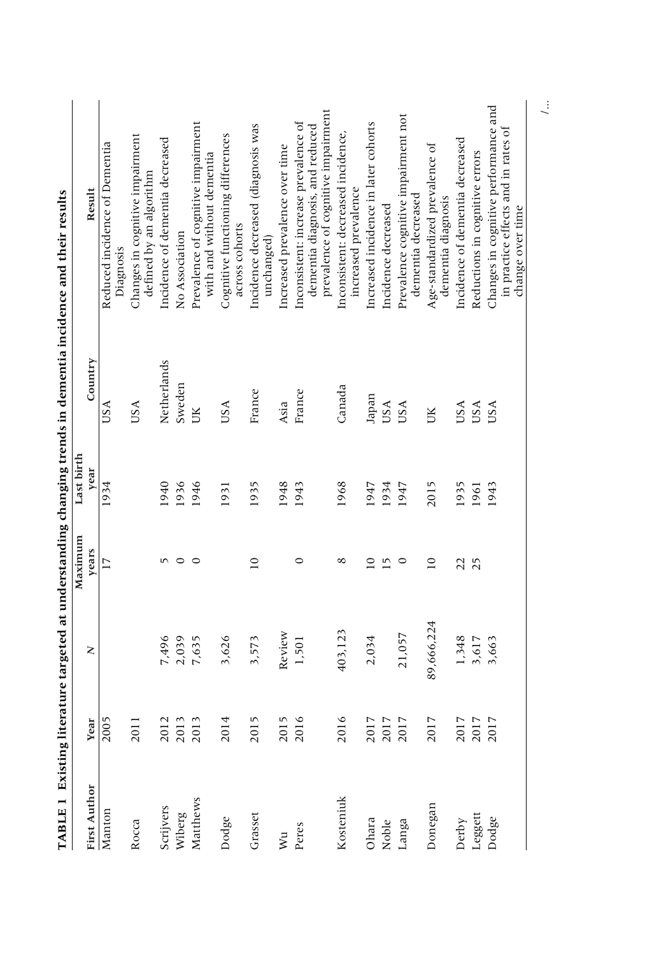| TABLE 1      | <b>Existing literatu</b> |              |                 |            |             | re targeted at understanding changing trends in dementia incidence and their results                          |
|--------------|--------------------------|--------------|-----------------|------------|-------------|---------------------------------------------------------------------------------------------------------------|
|              |                          |              | Maximum         | Last birth |             |                                                                                                               |
| First Author | Year                     | $\mathsf{X}$ | years           | year       | Country     | Result                                                                                                        |
| Manton       | 2005                     |              | 17              | 1934       | USA         | Reduced incidence of Dementia<br>Diagnosis                                                                    |
| Rocca        | 2011                     |              |                 |            | USA         | Changes in cognitive impairment<br>defined by an algorithm                                                    |
| Scrijvers    |                          | 7,496        | 5               | 1940       | Netherlands | Incidence of dementia decreased                                                                               |
| Wiberg       | 2012<br>2013<br>2013     | 2,039        | $\circ$         | 1936       | Sweden      | No Association                                                                                                |
| Matthews     |                          | 7,635        | $\circ$         | 1946       | Š           | Prevalence of cognitive impairment<br>with and without dementia                                               |
| Dodge        | 2014                     | 3,626        |                 | 1931       | <b>USA</b>  | Cognitive functioning differences<br>across cohorts                                                           |
| Grasset      | 2015                     | 3,573        | $\overline{10}$ | 1935       | France      | Incidence decreased (diagnosis was<br>unchanged)                                                              |
| $W_{\mu}$    | 2015<br>2016             | Review       |                 | 1948       | Asia        | Increased prevalence over time                                                                                |
| Peres        |                          | 1,501        | 0               | 1943       | France      | prevalence of cognitive impairment<br>Inconsistent: increase prevalence of<br>dementia diagnosis, and reduced |
| Kosteniuk    | 2016                     | 403,123      | 8               | 1968       | Canada      | Inconsistent: decreased incidence,<br>increased prevalence                                                    |
| Ohara        |                          | 2,034        | $\overline{a}$  | 1947       | Japan       | Increased incidence in later cohorts                                                                          |
| Noble        | 2017<br>2017<br>2017     |              | $\overline{15}$ | 1934       | USA         | Incidence decreased                                                                                           |
| Langa        |                          | 21,057       | $\circ$         | 1947       | USA         | Prevalence cognitive impairment not<br>dementia decreased                                                     |
| Donegan      | 2017                     | 89,666,224   | $\overline{10}$ | 2015       | ŬК          | Age-standardized prevalence of<br>dementia diagnosis                                                          |
| Derby        | 2017<br>2017             | 1,348        | 22              | 1935       | USA         | Incidence of dementia decreased                                                                               |
| Leggett      |                          | 3,617        | 25              | 1961       | USA         | Reductions in cognitive errors                                                                                |
| Dodge        | 2017                     | 3,663        |                 | 1943       | USA         | Changes in cognitive performance and<br>in practice effects and in rates of<br>change over time               |

/...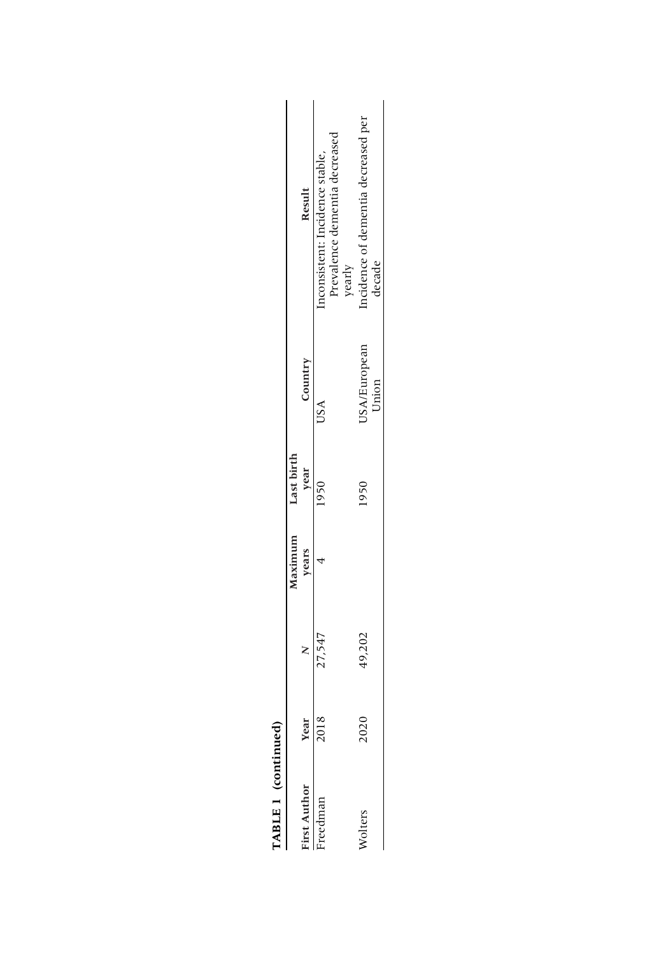|             |      |        | Maximum | Last birth |                       |                                                                 |
|-------------|------|--------|---------|------------|-----------------------|-----------------------------------------------------------------|
| irst Author | Year |        | years   | year       | Country               | Result                                                          |
|             | 2018 | 27,547 |         | 1950       | JSA                   | Prevalence dementia decreased<br>nconsistent: Incidence stable, |
|             |      |        |         |            |                       | yearly                                                          |
|             | 2020 | 19,202 |         | 1950       | JSA/European<br>Union | incidence of dementia decreased per<br>decade                   |

# TABLE 1 (continued) **TABLE 1 (continued)**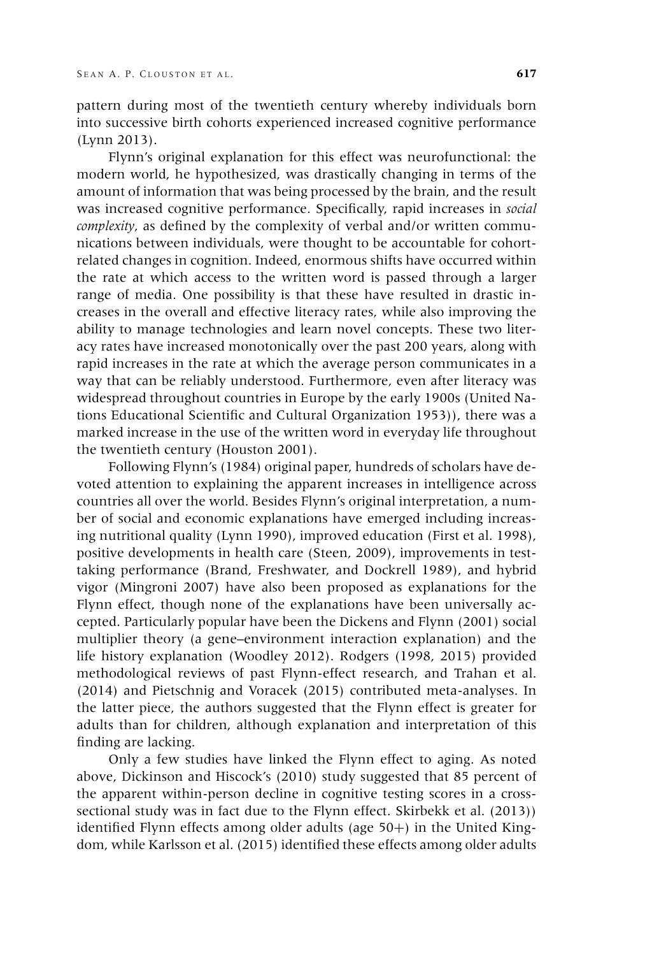pattern during most of the twentieth century whereby individuals born into successive birth cohorts experienced increased cognitive performance (Lynn 2013).

Flynn's original explanation for this effect was neurofunctional: the modern world, he hypothesized, was drastically changing in terms of the amount of information that was being processed by the brain, and the result was increased cognitive performance. Specifically, rapid increases in *social complexity*, as defined by the complexity of verbal and/or written communications between individuals, were thought to be accountable for cohortrelated changes in cognition. Indeed, enormous shifts have occurred within the rate at which access to the written word is passed through a larger range of media. One possibility is that these have resulted in drastic increases in the overall and effective literacy rates, while also improving the ability to manage technologies and learn novel concepts. These two literacy rates have increased monotonically over the past 200 years, along with rapid increases in the rate at which the average person communicates in a way that can be reliably understood. Furthermore, even after literacy was widespread throughout countries in Europe by the early 1900s (United Nations Educational Scientific and Cultural Organization 1953)), there was a marked increase in the use of the written word in everyday life throughout the twentieth century (Houston 2001).

Following Flynn's (1984) original paper, hundreds of scholars have devoted attention to explaining the apparent increases in intelligence across countries all over the world. Besides Flynn's original interpretation, a number of social and economic explanations have emerged including increasing nutritional quality (Lynn 1990), improved education (First et al. 1998), positive developments in health care (Steen, 2009), improvements in testtaking performance (Brand, Freshwater, and Dockrell 1989), and hybrid vigor (Mingroni 2007) have also been proposed as explanations for the Flynn effect, though none of the explanations have been universally accepted. Particularly popular have been the Dickens and Flynn (2001) social multiplier theory (a gene–environment interaction explanation) and the life history explanation (Woodley 2012). Rodgers (1998, 2015) provided methodological reviews of past Flynn-effect research, and Trahan et al. (2014) and Pietschnig and Voracek (2015) contributed meta-analyses. In the latter piece, the authors suggested that the Flynn effect is greater for adults than for children, although explanation and interpretation of this finding are lacking.

Only a few studies have linked the Flynn effect to aging. As noted above, Dickinson and Hiscock's (2010) study suggested that 85 percent of the apparent within-person decline in cognitive testing scores in a crosssectional study was in fact due to the Flynn effect. Skirbekk et al. (2013)) identified Flynn effects among older adults (age 50+) in the United Kingdom, while Karlsson et al. (2015) identified these effects among older adults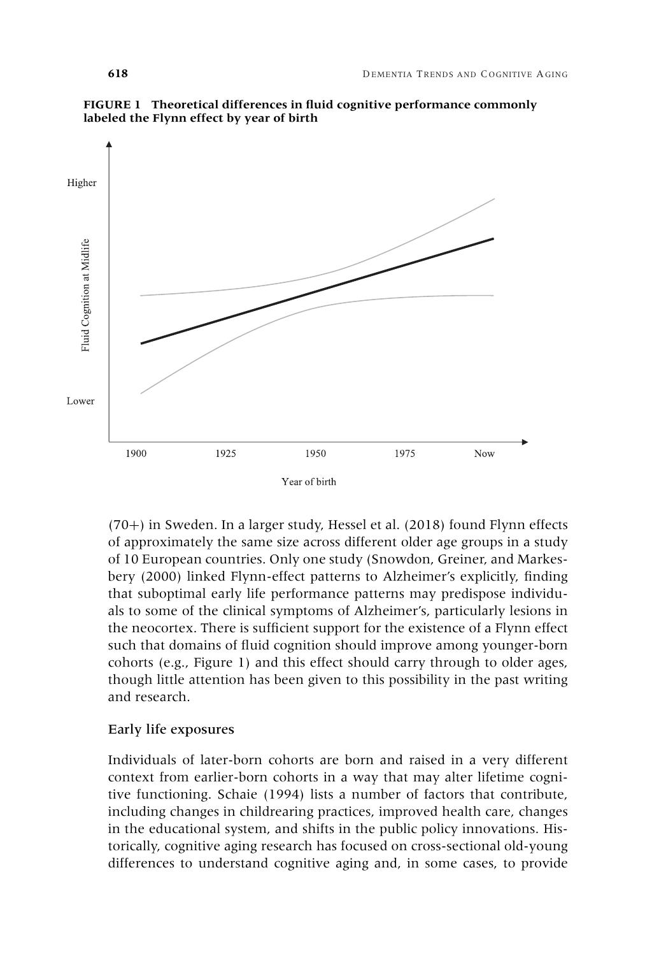

**FIGURE 1 Theoretical differences in fluid cognitive performance commonly labeled the Flynn effect by year of birth**

(70+) in Sweden. In a larger study, Hessel et al. (2018) found Flynn effects of approximately the same size across different older age groups in a study of 10 European countries. Only one study (Snowdon, Greiner, and Markesbery (2000) linked Flynn-effect patterns to Alzheimer's explicitly, finding that suboptimal early life performance patterns may predispose individuals to some of the clinical symptoms of Alzheimer's, particularly lesions in the neocortex. There is sufficient support for the existence of a Flynn effect such that domains of fluid cognition should improve among younger-born cohorts (e.g., Figure 1) and this effect should carry through to older ages, though little attention has been given to this possibility in the past writing and research.

#### Early life exposures

Individuals of later-born cohorts are born and raised in a very different context from earlier-born cohorts in a way that may alter lifetime cognitive functioning. Schaie (1994) lists a number of factors that contribute, including changes in childrearing practices, improved health care, changes in the educational system, and shifts in the public policy innovations. Historically, cognitive aging research has focused on cross-sectional old-young differences to understand cognitive aging and, in some cases, to provide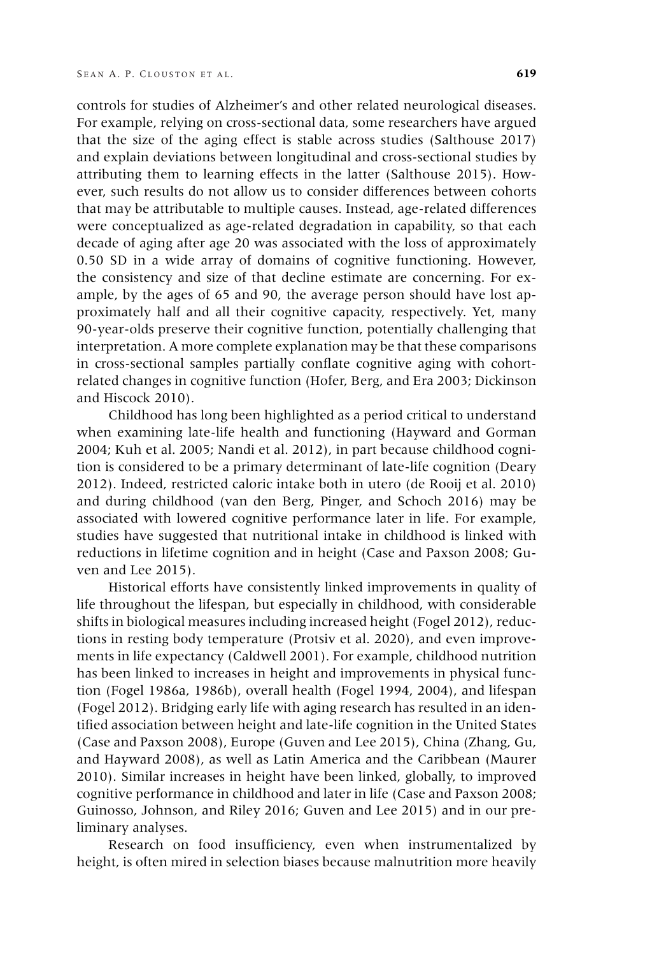controls for studies of Alzheimer's and other related neurological diseases. For example, relying on cross-sectional data, some researchers have argued that the size of the aging effect is stable across studies (Salthouse 2017) and explain deviations between longitudinal and cross-sectional studies by attributing them to learning effects in the latter (Salthouse 2015). However, such results do not allow us to consider differences between cohorts that may be attributable to multiple causes. Instead, age-related differences were conceptualized as age-related degradation in capability, so that each decade of aging after age 20 was associated with the loss of approximately 0.50 SD in a wide array of domains of cognitive functioning. However, the consistency and size of that decline estimate are concerning. For example, by the ages of 65 and 90, the average person should have lost approximately half and all their cognitive capacity, respectively. Yet, many 90-year-olds preserve their cognitive function, potentially challenging that interpretation. A more complete explanation may be that these comparisons in cross-sectional samples partially conflate cognitive aging with cohortrelated changes in cognitive function (Hofer, Berg, and Era 2003; Dickinson and Hiscock 2010).

Childhood has long been highlighted as a period critical to understand when examining late-life health and functioning (Hayward and Gorman 2004; Kuh et al. 2005; Nandi et al. 2012), in part because childhood cognition is considered to be a primary determinant of late-life cognition (Deary 2012). Indeed, restricted caloric intake both in utero (de Rooij et al. 2010) and during childhood (van den Berg, Pinger, and Schoch 2016) may be associated with lowered cognitive performance later in life. For example, studies have suggested that nutritional intake in childhood is linked with reductions in lifetime cognition and in height (Case and Paxson 2008; Guven and Lee 2015).

Historical efforts have consistently linked improvements in quality of life throughout the lifespan, but especially in childhood, with considerable shifts in biological measures including increased height (Fogel 2012), reductions in resting body temperature (Protsiv et al. 2020), and even improvements in life expectancy (Caldwell 2001). For example, childhood nutrition has been linked to increases in height and improvements in physical function (Fogel 1986a, 1986b), overall health (Fogel 1994, 2004), and lifespan (Fogel 2012). Bridging early life with aging research has resulted in an identified association between height and late-life cognition in the United States (Case and Paxson 2008), Europe (Guven and Lee 2015), China (Zhang, Gu, and Hayward 2008), as well as Latin America and the Caribbean (Maurer 2010). Similar increases in height have been linked, globally, to improved cognitive performance in childhood and later in life (Case and Paxson 2008; Guinosso, Johnson, and Riley 2016; Guven and Lee 2015) and in our preliminary analyses.

Research on food insufficiency, even when instrumentalized by height, is often mired in selection biases because malnutrition more heavily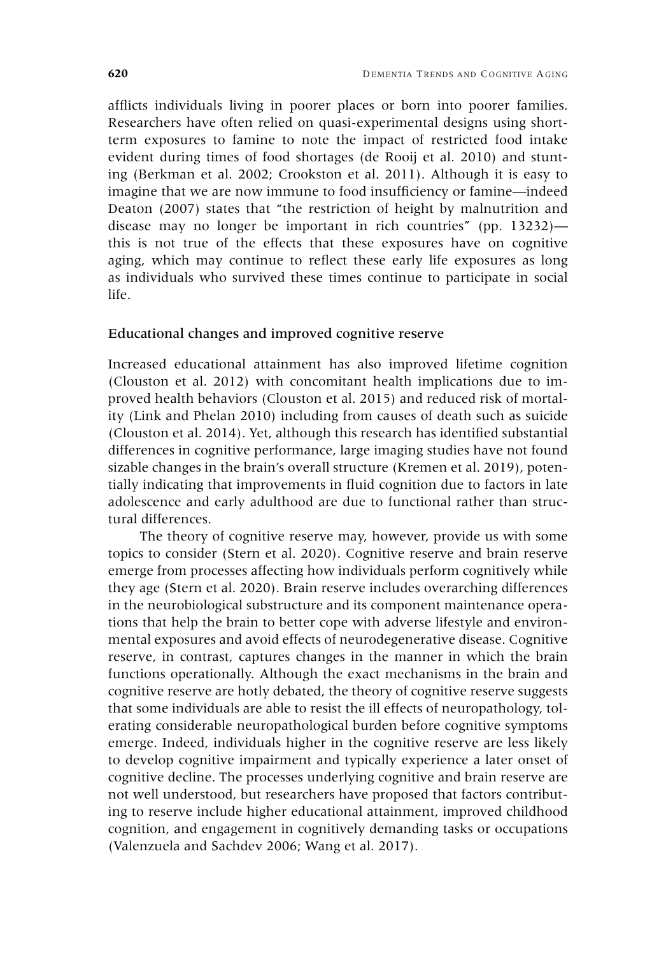afflicts individuals living in poorer places or born into poorer families. Researchers have often relied on quasi-experimental designs using shortterm exposures to famine to note the impact of restricted food intake evident during times of food shortages (de Rooij et al. 2010) and stunting (Berkman et al. 2002; Crookston et al. 2011). Although it is easy to imagine that we are now immune to food insufficiency or famine—indeed Deaton (2007) states that "the restriction of height by malnutrition and disease may no longer be important in rich countries" (pp. 13232) this is not true of the effects that these exposures have on cognitive aging, which may continue to reflect these early life exposures as long as individuals who survived these times continue to participate in social life.

#### Educational changes and improved cognitive reserve

Increased educational attainment has also improved lifetime cognition (Clouston et al. 2012) with concomitant health implications due to improved health behaviors (Clouston et al. 2015) and reduced risk of mortality (Link and Phelan 2010) including from causes of death such as suicide (Clouston et al. 2014). Yet, although this research has identified substantial differences in cognitive performance, large imaging studies have not found sizable changes in the brain's overall structure (Kremen et al. 2019), potentially indicating that improvements in fluid cognition due to factors in late adolescence and early adulthood are due to functional rather than structural differences.

The theory of cognitive reserve may, however, provide us with some topics to consider (Stern et al. 2020). Cognitive reserve and brain reserve emerge from processes affecting how individuals perform cognitively while they age (Stern et al. 2020). Brain reserve includes overarching differences in the neurobiological substructure and its component maintenance operations that help the brain to better cope with adverse lifestyle and environmental exposures and avoid effects of neurodegenerative disease. Cognitive reserve, in contrast, captures changes in the manner in which the brain functions operationally. Although the exact mechanisms in the brain and cognitive reserve are hotly debated, the theory of cognitive reserve suggests that some individuals are able to resist the ill effects of neuropathology, tolerating considerable neuropathological burden before cognitive symptoms emerge. Indeed, individuals higher in the cognitive reserve are less likely to develop cognitive impairment and typically experience a later onset of cognitive decline. The processes underlying cognitive and brain reserve are not well understood, but researchers have proposed that factors contributing to reserve include higher educational attainment, improved childhood cognition, and engagement in cognitively demanding tasks or occupations (Valenzuela and Sachdev 2006; Wang et al. 2017).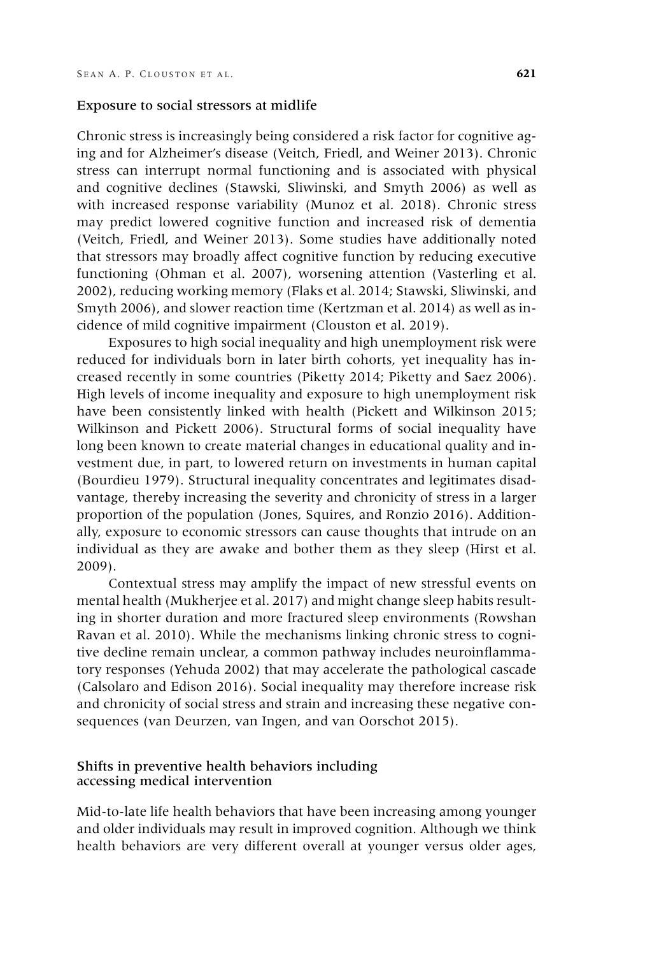#### Exposure to social stressors at midlife

Chronic stress is increasingly being considered a risk factor for cognitive aging and for Alzheimer's disease (Veitch, Friedl, and Weiner 2013). Chronic stress can interrupt normal functioning and is associated with physical and cognitive declines (Stawski, Sliwinski, and Smyth 2006) as well as with increased response variability (Munoz et al. 2018). Chronic stress may predict lowered cognitive function and increased risk of dementia (Veitch, Friedl, and Weiner 2013). Some studies have additionally noted that stressors may broadly affect cognitive function by reducing executive functioning (Ohman et al. 2007), worsening attention (Vasterling et al. 2002), reducing working memory (Flaks et al. 2014; Stawski, Sliwinski, and Smyth 2006), and slower reaction time (Kertzman et al. 2014) as well as incidence of mild cognitive impairment (Clouston et al. 2019).

Exposures to high social inequality and high unemployment risk were reduced for individuals born in later birth cohorts, yet inequality has increased recently in some countries (Piketty 2014; Piketty and Saez 2006). High levels of income inequality and exposure to high unemployment risk have been consistently linked with health (Pickett and Wilkinson 2015; Wilkinson and Pickett 2006). Structural forms of social inequality have long been known to create material changes in educational quality and investment due, in part, to lowered return on investments in human capital (Bourdieu 1979). Structural inequality concentrates and legitimates disadvantage, thereby increasing the severity and chronicity of stress in a larger proportion of the population (Jones, Squires, and Ronzio 2016). Additionally, exposure to economic stressors can cause thoughts that intrude on an individual as they are awake and bother them as they sleep (Hirst et al. 2009).

Contextual stress may amplify the impact of new stressful events on mental health (Mukherjee et al. 2017) and might change sleep habits resulting in shorter duration and more fractured sleep environments (Rowshan Ravan et al. 2010). While the mechanisms linking chronic stress to cognitive decline remain unclear, a common pathway includes neuroinflammatory responses (Yehuda 2002) that may accelerate the pathological cascade (Calsolaro and Edison 2016). Social inequality may therefore increase risk and chronicity of social stress and strain and increasing these negative consequences (van Deurzen, van Ingen, and van Oorschot 2015).

#### Shifts in preventive health behaviors including accessing medical intervention

Mid-to-late life health behaviors that have been increasing among younger and older individuals may result in improved cognition. Although we think health behaviors are very different overall at younger versus older ages,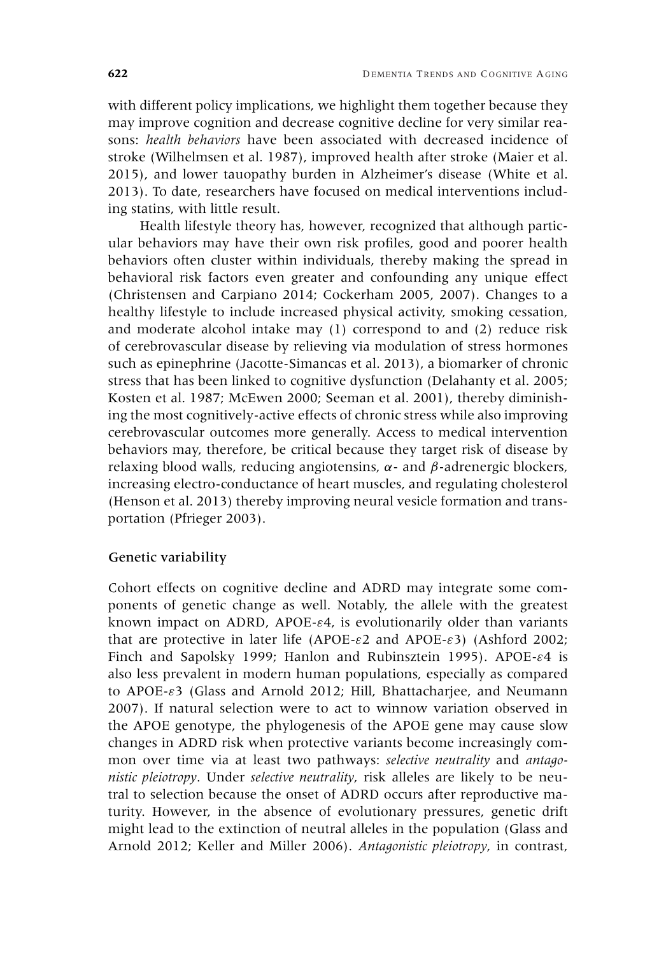with different policy implications, we highlight them together because they may improve cognition and decrease cognitive decline for very similar reasons: *health behaviors* have been associated with decreased incidence of stroke (Wilhelmsen et al. 1987), improved health after stroke (Maier et al. 2015), and lower tauopathy burden in Alzheimer's disease (White et al. 2013). To date, researchers have focused on medical interventions including statins, with little result.

Health lifestyle theory has, however, recognized that although particular behaviors may have their own risk profiles, good and poorer health behaviors often cluster within individuals, thereby making the spread in behavioral risk factors even greater and confounding any unique effect (Christensen and Carpiano 2014; Cockerham 2005, 2007). Changes to a healthy lifestyle to include increased physical activity, smoking cessation, and moderate alcohol intake may (1) correspond to and (2) reduce risk of cerebrovascular disease by relieving via modulation of stress hormones such as epinephrine (Jacotte-Simancas et al. 2013), a biomarker of chronic stress that has been linked to cognitive dysfunction (Delahanty et al. 2005; Kosten et al. 1987; McEwen 2000; Seeman et al. 2001), thereby diminishing the most cognitively-active effects of chronic stress while also improving cerebrovascular outcomes more generally. Access to medical intervention behaviors may, therefore, be critical because they target risk of disease by relaxing blood walls, reducing angiotensins,  $\alpha$ - and  $\beta$ -adrenergic blockers, increasing electro-conductance of heart muscles, and regulating cholesterol (Henson et al. 2013) thereby improving neural vesicle formation and transportation (Pfrieger 2003).

#### Genetic variability

Cohort effects on cognitive decline and ADRD may integrate some components of genetic change as well. Notably, the allele with the greatest known impact on ADRD, APOE- $\varepsilon$ 4, is evolutionarily older than variants that are protective in later life (APOE- $\epsilon$ 2 and APOE- $\epsilon$ 3) (Ashford 2002; Finch and Sapolsky 1999; Hanlon and Rubinsztein 1995). APOE-ε4 is also less prevalent in modern human populations, especially as compared to APOE- $\epsilon$ 3 (Glass and Arnold 2012; Hill, Bhattacharjee, and Neumann 2007). If natural selection were to act to winnow variation observed in the APOE genotype, the phylogenesis of the APOE gene may cause slow changes in ADRD risk when protective variants become increasingly common over time via at least two pathways: *selective neutrality* and *antagonistic pleiotropy*. Under *selective neutrality*, risk alleles are likely to be neutral to selection because the onset of ADRD occurs after reproductive maturity. However, in the absence of evolutionary pressures, genetic drift might lead to the extinction of neutral alleles in the population (Glass and Arnold 2012; Keller and Miller 2006). *Antagonistic pleiotropy*, in contrast,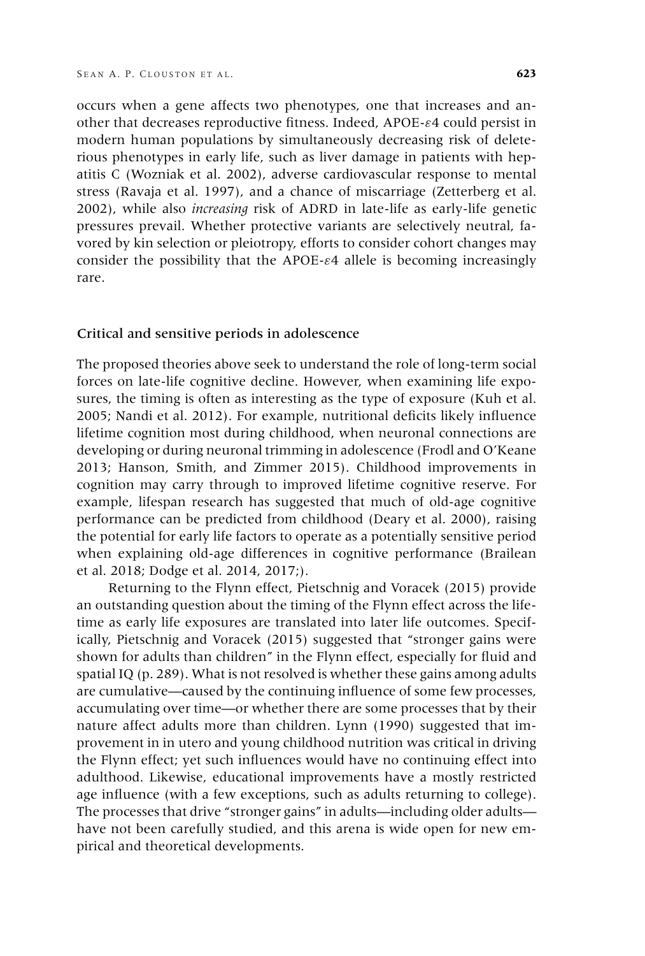occurs when a gene affects two phenotypes, one that increases and another that decreases reproductive fitness. Indeed, APOE-ε4 could persist in modern human populations by simultaneously decreasing risk of deleterious phenotypes in early life, such as liver damage in patients with hepatitis C (Wozniak et al. 2002), adverse cardiovascular response to mental stress (Ravaja et al. 1997), and a chance of miscarriage (Zetterberg et al. 2002), while also *increasing* risk of ADRD in late-life as early-life genetic pressures prevail. Whether protective variants are selectively neutral, favored by kin selection or pleiotropy, efforts to consider cohort changes may consider the possibility that the APOE- $\varepsilon$ 4 allele is becoming increasingly rare.

#### Critical and sensitive periods in adolescence

The proposed theories above seek to understand the role of long-term social forces on late-life cognitive decline. However, when examining life exposures, the timing is often as interesting as the type of exposure (Kuh et al. 2005; Nandi et al. 2012). For example, nutritional deficits likely influence lifetime cognition most during childhood, when neuronal connections are developing or during neuronal trimming in adolescence (Frodl and O'Keane 2013; Hanson, Smith, and Zimmer 2015). Childhood improvements in cognition may carry through to improved lifetime cognitive reserve. For example, lifespan research has suggested that much of old-age cognitive performance can be predicted from childhood (Deary et al. 2000), raising the potential for early life factors to operate as a potentially sensitive period when explaining old-age differences in cognitive performance (Brailean et al. 2018; Dodge et al. 2014, 2017;).

Returning to the Flynn effect, Pietschnig and Voracek (2015) provide an outstanding question about the timing of the Flynn effect across the lifetime as early life exposures are translated into later life outcomes. Specifically, Pietschnig and Voracek (2015) suggested that "stronger gains were shown for adults than children" in the Flynn effect, especially for fluid and spatial IQ (p. 289). What is not resolved is whether these gains among adults are cumulative—caused by the continuing influence of some few processes, accumulating over time—or whether there are some processes that by their nature affect adults more than children. Lynn (1990) suggested that improvement in in utero and young childhood nutrition was critical in driving the Flynn effect; yet such influences would have no continuing effect into adulthood. Likewise, educational improvements have a mostly restricted age influence (with a few exceptions, such as adults returning to college). The processes that drive "stronger gains" in adults—including older adults have not been carefully studied, and this arena is wide open for new empirical and theoretical developments.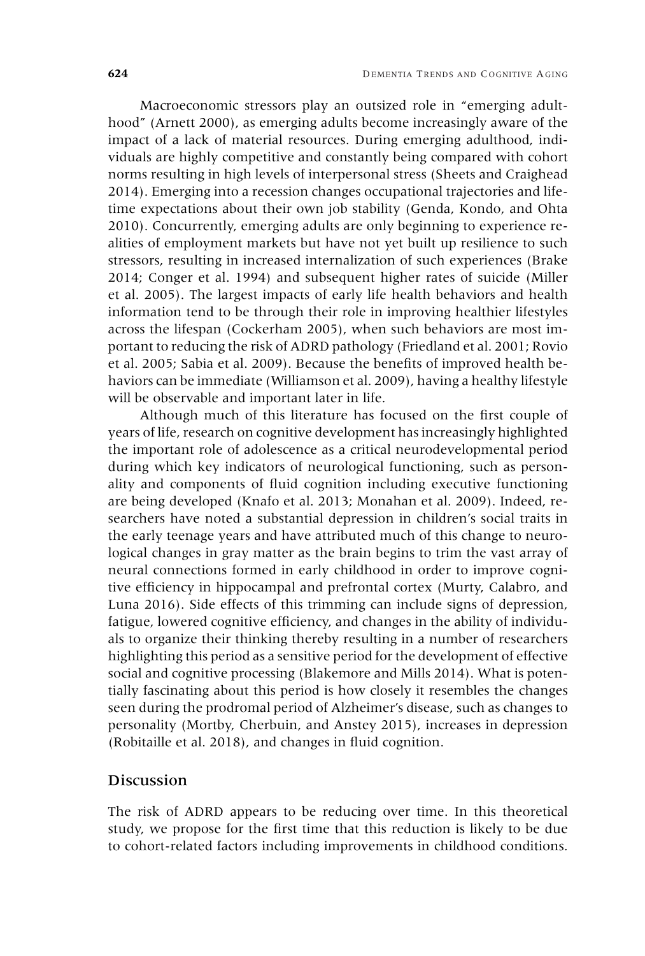Macroeconomic stressors play an outsized role in "emerging adulthood" (Arnett 2000), as emerging adults become increasingly aware of the impact of a lack of material resources. During emerging adulthood, individuals are highly competitive and constantly being compared with cohort norms resulting in high levels of interpersonal stress (Sheets and Craighead 2014). Emerging into a recession changes occupational trajectories and lifetime expectations about their own job stability (Genda, Kondo, and Ohta 2010). Concurrently, emerging adults are only beginning to experience realities of employment markets but have not yet built up resilience to such stressors, resulting in increased internalization of such experiences (Brake 2014; Conger et al. 1994) and subsequent higher rates of suicide (Miller et al. 2005). The largest impacts of early life health behaviors and health information tend to be through their role in improving healthier lifestyles across the lifespan (Cockerham 2005), when such behaviors are most important to reducing the risk of ADRD pathology (Friedland et al. 2001; Rovio et al. 2005; Sabia et al. 2009). Because the benefits of improved health behaviors can be immediate (Williamson et al. 2009), having a healthy lifestyle will be observable and important later in life.

Although much of this literature has focused on the first couple of years of life, research on cognitive development has increasingly highlighted the important role of adolescence as a critical neurodevelopmental period during which key indicators of neurological functioning, such as personality and components of fluid cognition including executive functioning are being developed (Knafo et al. 2013; Monahan et al. 2009). Indeed, researchers have noted a substantial depression in children's social traits in the early teenage years and have attributed much of this change to neurological changes in gray matter as the brain begins to trim the vast array of neural connections formed in early childhood in order to improve cognitive efficiency in hippocampal and prefrontal cortex (Murty, Calabro, and Luna 2016). Side effects of this trimming can include signs of depression, fatigue, lowered cognitive efficiency, and changes in the ability of individuals to organize their thinking thereby resulting in a number of researchers highlighting this period as a sensitive period for the development of effective social and cognitive processing (Blakemore and Mills 2014). What is potentially fascinating about this period is how closely it resembles the changes seen during the prodromal period of Alzheimer's disease, such as changes to personality (Mortby, Cherbuin, and Anstey 2015), increases in depression (Robitaille et al. 2018), and changes in fluid cognition.

#### **Discussion**

The risk of ADRD appears to be reducing over time. In this theoretical study, we propose for the first time that this reduction is likely to be due to cohort-related factors including improvements in childhood conditions.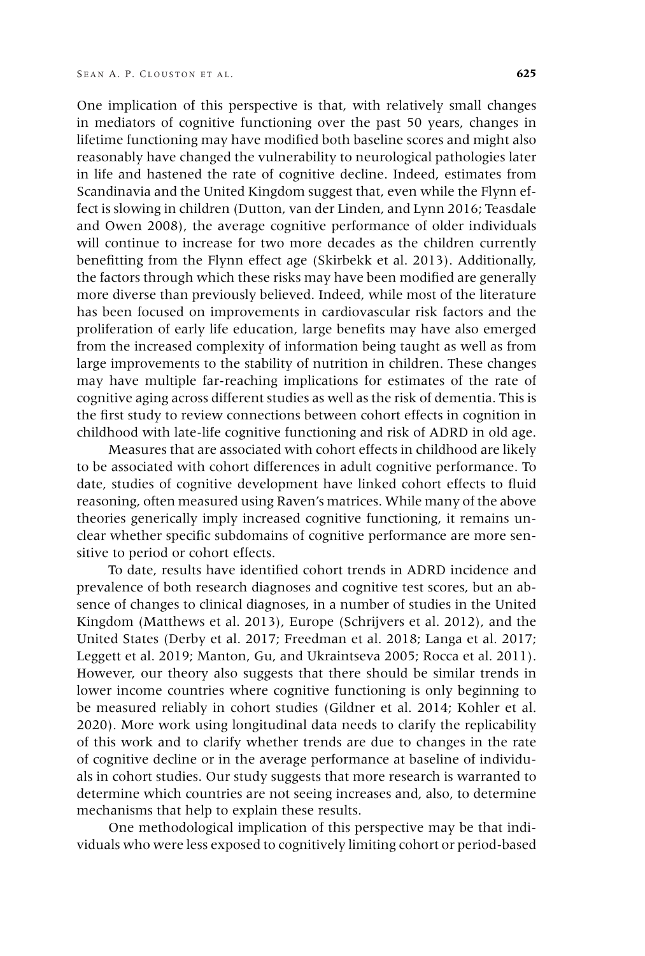One implication of this perspective is that, with relatively small changes in mediators of cognitive functioning over the past 50 years, changes in lifetime functioning may have modified both baseline scores and might also reasonably have changed the vulnerability to neurological pathologies later in life and hastened the rate of cognitive decline. Indeed, estimates from Scandinavia and the United Kingdom suggest that, even while the Flynn effect is slowing in children (Dutton, van der Linden, and Lynn 2016; Teasdale and Owen 2008), the average cognitive performance of older individuals will continue to increase for two more decades as the children currently benefitting from the Flynn effect age (Skirbekk et al. 2013). Additionally, the factors through which these risks may have been modified are generally more diverse than previously believed. Indeed, while most of the literature has been focused on improvements in cardiovascular risk factors and the proliferation of early life education, large benefits may have also emerged from the increased complexity of information being taught as well as from large improvements to the stability of nutrition in children. These changes may have multiple far-reaching implications for estimates of the rate of cognitive aging across different studies as well as the risk of dementia. This is the first study to review connections between cohort effects in cognition in childhood with late-life cognitive functioning and risk of ADRD in old age.

Measures that are associated with cohort effects in childhood are likely to be associated with cohort differences in adult cognitive performance. To date, studies of cognitive development have linked cohort effects to fluid reasoning, often measured using Raven's matrices. While many of the above theories generically imply increased cognitive functioning, it remains unclear whether specific subdomains of cognitive performance are more sensitive to period or cohort effects.

To date, results have identified cohort trends in ADRD incidence and prevalence of both research diagnoses and cognitive test scores, but an absence of changes to clinical diagnoses, in a number of studies in the United Kingdom (Matthews et al. 2013), Europe (Schrijvers et al. 2012), and the United States (Derby et al. 2017; Freedman et al. 2018; Langa et al. 2017; Leggett et al. 2019; Manton, Gu, and Ukraintseva 2005; Rocca et al. 2011). However, our theory also suggests that there should be similar trends in lower income countries where cognitive functioning is only beginning to be measured reliably in cohort studies (Gildner et al. 2014; Kohler et al. 2020). More work using longitudinal data needs to clarify the replicability of this work and to clarify whether trends are due to changes in the rate of cognitive decline or in the average performance at baseline of individuals in cohort studies. Our study suggests that more research is warranted to determine which countries are not seeing increases and, also, to determine mechanisms that help to explain these results.

One methodological implication of this perspective may be that individuals who were less exposed to cognitively limiting cohort or period-based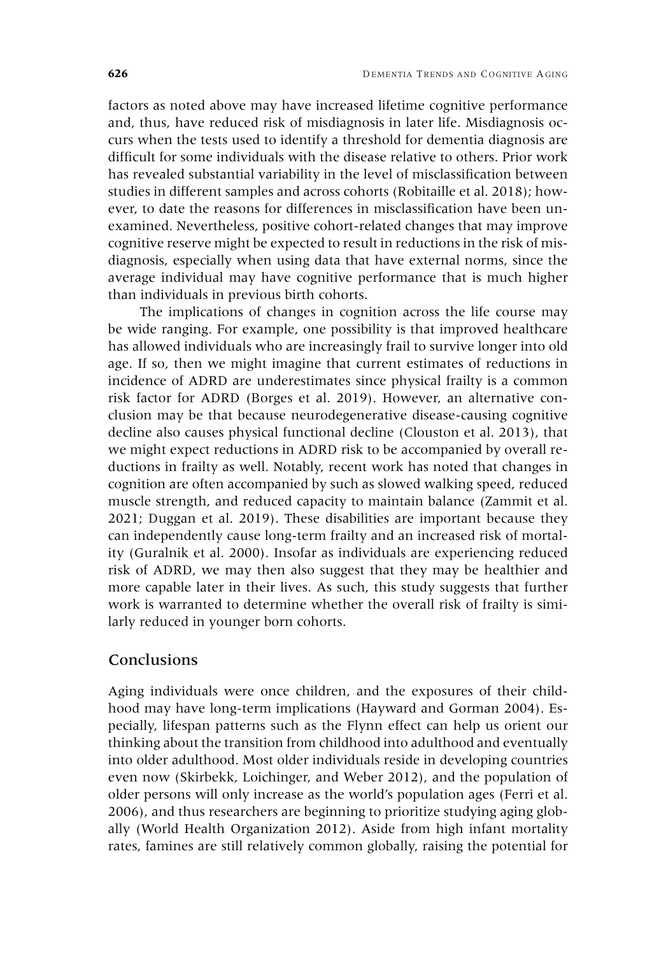factors as noted above may have increased lifetime cognitive performance and, thus, have reduced risk of misdiagnosis in later life. Misdiagnosis occurs when the tests used to identify a threshold for dementia diagnosis are difficult for some individuals with the disease relative to others. Prior work has revealed substantial variability in the level of misclassification between studies in different samples and across cohorts (Robitaille et al. 2018); however, to date the reasons for differences in misclassification have been unexamined. Nevertheless, positive cohort-related changes that may improve cognitive reserve might be expected to result in reductions in the risk of misdiagnosis, especially when using data that have external norms, since the average individual may have cognitive performance that is much higher than individuals in previous birth cohorts.

The implications of changes in cognition across the life course may be wide ranging. For example, one possibility is that improved healthcare has allowed individuals who are increasingly frail to survive longer into old age. If so, then we might imagine that current estimates of reductions in incidence of ADRD are underestimates since physical frailty is a common risk factor for ADRD (Borges et al. 2019). However, an alternative conclusion may be that because neurodegenerative disease-causing cognitive decline also causes physical functional decline (Clouston et al. 2013), that we might expect reductions in ADRD risk to be accompanied by overall reductions in frailty as well. Notably, recent work has noted that changes in cognition are often accompanied by such as slowed walking speed, reduced muscle strength, and reduced capacity to maintain balance (Zammit et al. 2021; Duggan et al. 2019). These disabilities are important because they can independently cause long-term frailty and an increased risk of mortality (Guralnik et al. 2000). Insofar as individuals are experiencing reduced risk of ADRD, we may then also suggest that they may be healthier and more capable later in their lives. As such, this study suggests that further work is warranted to determine whether the overall risk of frailty is similarly reduced in younger born cohorts.

# Conclusions

Aging individuals were once children, and the exposures of their childhood may have long-term implications (Hayward and Gorman 2004). Especially, lifespan patterns such as the Flynn effect can help us orient our thinking about the transition from childhood into adulthood and eventually into older adulthood. Most older individuals reside in developing countries even now (Skirbekk, Loichinger, and Weber 2012), and the population of older persons will only increase as the world's population ages (Ferri et al. 2006), and thus researchers are beginning to prioritize studying aging globally (World Health Organization 2012). Aside from high infant mortality rates, famines are still relatively common globally, raising the potential for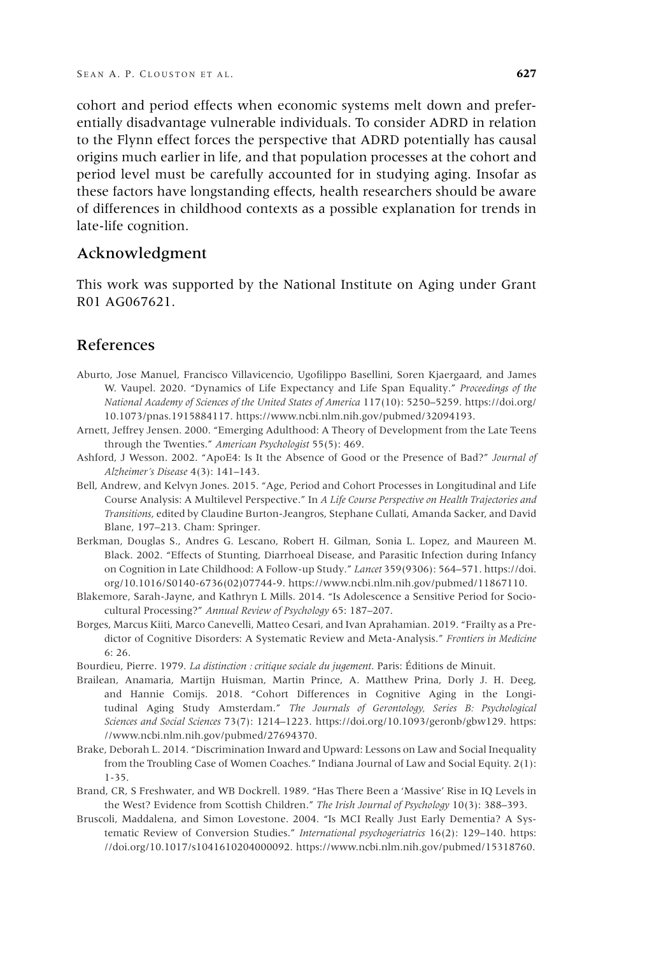cohort and period effects when economic systems melt down and preferentially disadvantage vulnerable individuals. To consider ADRD in relation to the Flynn effect forces the perspective that ADRD potentially has causal origins much earlier in life, and that population processes at the cohort and period level must be carefully accounted for in studying aging. Insofar as these factors have longstanding effects, health researchers should be aware of differences in childhood contexts as a possible explanation for trends in late-life cognition.

#### Acknowledgment

This work was supported by the National Institute on Aging under Grant R01 AG067621.

# References

- Aburto, Jose Manuel, Francisco Villavicencio, Ugofilippo Basellini, Soren Kjaergaard, and James W. Vaupel. 2020. "Dynamics of Life Expectancy and Life Span Equality." *Proceedings of the National Academy of Sciences of the United States of America* 117(10): 5250–5259. [https://doi.org/](https://doi.org/10.1073/pnas.1915884117) [10.1073/pnas.1915884117.](https://doi.org/10.1073/pnas.1915884117) [https://www.ncbi.nlm.nih.gov/pubmed/32094193.](https://www.ncbi.nlm.nih.gov/pubmed/32094193)
- Arnett, Jeffrey Jensen. 2000. "Emerging Adulthood: A Theory of Development from the Late Teens through the Twenties." *American Psychologist* 55(5): 469.
- Ashford, J Wesson. 2002. "ApoE4: Is It the Absence of Good or the Presence of Bad?" *Journal of Alzheimer's Disease* 4(3): 141–143.
- Bell, Andrew, and Kelvyn Jones. 2015. "Age, Period and Cohort Processes in Longitudinal and Life Course Analysis: A Multilevel Perspective." In *A Life Course Perspective on Health Trajectories and Transitions*, edited by Claudine Burton-Jeangros, Stephane Cullati, Amanda Sacker, and David Blane, 197–213. Cham: Springer.
- Berkman, Douglas S., Andres G. Lescano, Robert H. Gilman, Sonia L. Lopez, and Maureen M. Black. 2002. "Effects of Stunting, Diarrhoeal Disease, and Parasitic Infection during Infancy on Cognition in Late Childhood: A Follow-up Study." *Lancet* 359(9306): 564–571. [https://doi.](https://doi.org/10.1016/S0140-6736(02)07744-9) [org/10.1016/S0140-6736\(02\)07744-9.](https://doi.org/10.1016/S0140-6736(02)07744-9) [https://www.ncbi.nlm.nih.gov/pubmed/11867110.](https://www.ncbi.nlm.nih.gov/pubmed/11867110)
- Blakemore, Sarah-Jayne, and Kathryn L Mills. 2014. "Is Adolescence a Sensitive Period for Sociocultural Processing?" *Annual Review of Psychology* 65: 187–207.
- Borges, Marcus Kiiti, Marco Canevelli, Matteo Cesari, and Ivan Aprahamian. 2019. "Frailty as a Predictor of Cognitive Disorders: A Systematic Review and Meta-Analysis." *Frontiers in Medicine* 6: 26.

Bourdieu, Pierre. 1979. *La distinction : critique sociale du jugement*. Paris: Éditions de Minuit.

- Brailean, Anamaria, Martijn Huisman, Martin Prince, A. Matthew Prina, Dorly J. H. Deeg, and Hannie Comijs. 2018. "Cohort Differences in Cognitive Aging in the Longitudinal Aging Study Amsterdam." *The Journals of Gerontology, Series B: Psychological Sciences and Social Sciences* 73(7): 1214–1223. [https://doi.org/10.1093/geronb/gbw129.](https://doi.org/10.1093/geronb/gbw129) [https:](https://www.ncbi.nlm.nih.gov/pubmed/27694370) [//www.ncbi.nlm.nih.gov/pubmed/27694370.](https://www.ncbi.nlm.nih.gov/pubmed/27694370)
- Brake, Deborah L. 2014. "Discrimination Inward and Upward: Lessons on Law and Social Inequality from the Troubling Case of Women Coaches." Indiana Journal of Law and Social Equity. 2(1): 1-35.
- Brand, CR, S Freshwater, and WB Dockrell. 1989. "Has There Been a 'Massive' Rise in IQ Levels in the West? Evidence from Scottish Children." *The Irish Journal of Psychology* 10(3): 388–393.
- Bruscoli, Maddalena, and Simon Lovestone. 2004. "Is MCI Really Just Early Dementia? A Systematic Review of Conversion Studies." *International psychogeriatrics* 16(2): 129–140. [https:](https://doi.org/10.1017/s1041610204000092) [//doi.org/10.1017/s1041610204000092.](https://doi.org/10.1017/s1041610204000092) [https://www.ncbi.nlm.nih.gov/pubmed/15318760.](https://www.ncbi.nlm.nih.gov/pubmed/15318760)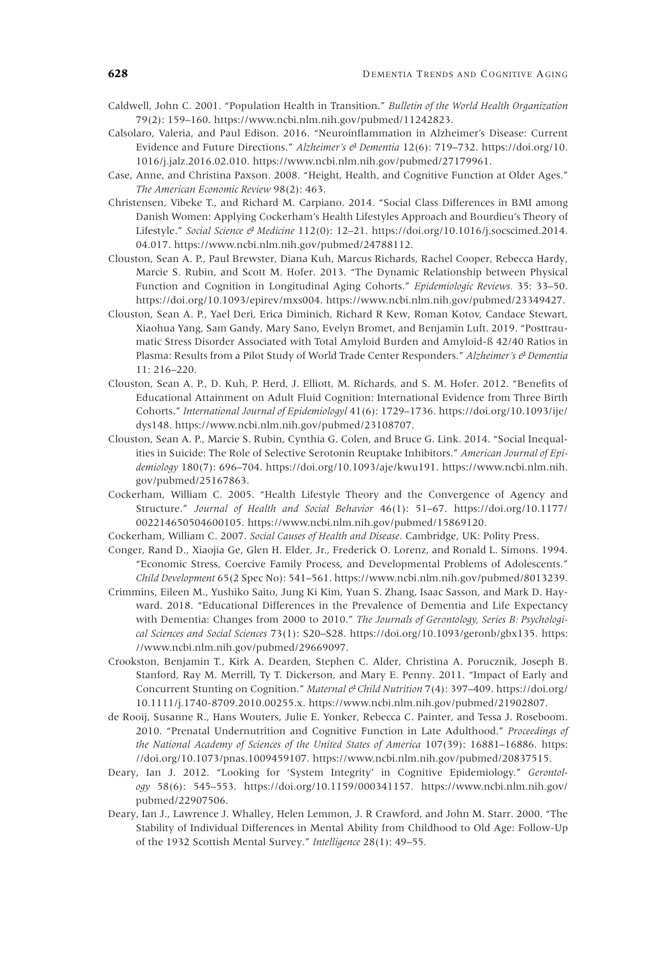- Caldwell, John C. 2001. "Population Health in Transition." *Bulletin of the World Health Organization* 79(2): 159–160. [https://www.ncbi.nlm.nih.gov/pubmed/11242823.](https://www.ncbi.nlm.nih.gov/pubmed/11242823)
- Calsolaro, Valeria, and Paul Edison. 2016. "Neuroinflammation in Alzheimer's Disease: Current Evidence and Future Directions." *Alzheimer's & Dementia* 12(6): 719–732. [https://doi.org/10.](https://doi.org/10.1016/j.jalz.2016.02.010) [1016/j.jalz.2016.02.010.](https://doi.org/10.1016/j.jalz.2016.02.010) [https://www.ncbi.nlm.nih.gov/pubmed/27179961.](https://www.ncbi.nlm.nih.gov/pubmed/27179961)
- Case, Anne, and Christina Paxson. 2008. "Height, Health, and Cognitive Function at Older Ages." *The American Economic Review* 98(2): 463.
- Christensen, Vibeke T., and Richard M. Carpiano. 2014. "Social Class Differences in BMI among Danish Women: Applying Cockerham's Health Lifestyles Approach and Bourdieu's Theory of Lifestyle." *Social Science & Medicine* 112(0): 12–21. [https://doi.org/10.1016/j.socscimed.2014.](https://doi.org/10.1016/j.socscimed.2014.04.017) [04.017.](https://doi.org/10.1016/j.socscimed.2014.04.017) [https://www.ncbi.nlm.nih.gov/pubmed/24788112.](https://www.ncbi.nlm.nih.gov/pubmed/24788112)
- Clouston, Sean A. P., Paul Brewster, Diana Kuh, Marcus Richards, Rachel Cooper, Rebecca Hardy, Marcie S. Rubin, and Scott M. Hofer. 2013. "The Dynamic Relationship between Physical Function and Cognition in Longitudinal Aging Cohorts." *Epidemiologic Reviews.* 35: 33–50. [https://doi.org/10.1093/epirev/mxs004.](https://doi.org/10.1093/epirev/mxs004) [https://www.ncbi.nlm.nih.gov/pubmed/23349427.](https://www.ncbi.nlm.nih.gov/pubmed/23349427)
- Clouston, Sean A. P., Yael Deri, Erica Diminich, Richard R Kew, Roman Kotov, Candace Stewart, Xiaohua Yang, Sam Gandy, Mary Sano, Evelyn Bromet, and Benjamin Luft. 2019. "Posttraumatic Stress Disorder Associated with Total Amyloid Burden and Amyloid-ß 42/40 Ratios in Plasma: Results from a Pilot Study of World Trade Center Responders." *Alzheimer's & Dementia* 11: 216–220.
- Clouston, Sean A. P., D. Kuh, P. Herd, J. Elliott, M. Richards, and S. M. Hofer. 2012. "Benefits of Educational Attainment on Adult Fluid Cognition: International Evidence from Three Birth Cohorts." *International Journal of Epidemiologyl* 41(6): 1729–1736. [https://doi.org/10.1093/ije/](https://doi.org/10.1093/ije/dys148) [dys148.](https://doi.org/10.1093/ije/dys148) [https://www.ncbi.nlm.nih.gov/pubmed/23108707.](https://www.ncbi.nlm.nih.gov/pubmed/23108707)
- Clouston, Sean A. P., Marcie S. Rubin, Cynthia G. Colen, and Bruce G. Link. 2014. "Social Inequalities in Suicide: The Role of Selective Serotonin Reuptake Inhibitors." *American Journal of Epidemiology* 180(7): 696–704. [https://doi.org/10.1093/aje/kwu191.](https://doi.org/10.1093/aje/kwu191) [https://www.ncbi.nlm.nih.](https://www.ncbi.nlm.nih.gov/pubmed/25167863) [gov/pubmed/25167863.](https://www.ncbi.nlm.nih.gov/pubmed/25167863)
- Cockerham, William C. 2005. "Health Lifestyle Theory and the Convergence of Agency and Structure." *Journal of Health and Social Behavior* 46(1): 51–67. [https://doi.org/10.1177/](https://doi.org/10.1177/002214650504600105) [002214650504600105.](https://doi.org/10.1177/002214650504600105) [https://www.ncbi.nlm.nih.gov/pubmed/15869120.](https://www.ncbi.nlm.nih.gov/pubmed/15869120)
- Cockerham, William C. 2007. *Social Causes of Health and Disease*. Cambridge, UK: Polity Press.
- Conger, Rand D., Xiaojia Ge, Glen H. Elder, Jr., Frederick O. Lorenz, and Ronald L. Simons. 1994. "Economic Stress, Coercive Family Process, and Developmental Problems of Adolescents." *Child Development* 65(2 Spec No): 541–561. [https://www.ncbi.nlm.nih.gov/pubmed/8013239.](https://www.ncbi.nlm.nih.gov/pubmed/8013239)
- Crimmins, Eileen M., Yushiko Saito, Jung Ki Kim, Yuan S. Zhang, Isaac Sasson, and Mark D. Hayward. 2018. "Educational Differences in the Prevalence of Dementia and Life Expectancy with Dementia: Changes from 2000 to 2010." *The Journals of Gerontology, Series B: Psychological Sciences and Social Sciences* 73(1): S20–S28. [https://doi.org/10.1093/geronb/gbx135.](https://doi.org/10.1093/geronb/gbx135) [https:](https://www.ncbi.nlm.nih.gov/pubmed/29669097) [//www.ncbi.nlm.nih.gov/pubmed/29669097.](https://www.ncbi.nlm.nih.gov/pubmed/29669097)
- Crookston, Benjamin T., Kirk A. Dearden, Stephen C. Alder, Christina A. Porucznik, Joseph B. Stanford, Ray M. Merrill, Ty T. Dickerson, and Mary E. Penny. 2011. "Impact of Early and Concurrent Stunting on Cognition." *Maternal & Child Nutrition* 7(4): 397–409. [https://doi.org/](https://doi.org/10.1111/j.1740-8709.2010.00255.x) [10.1111/j.1740-8709.2010.00255.x.](https://doi.org/10.1111/j.1740-8709.2010.00255.x) [https://www.ncbi.nlm.nih.gov/pubmed/21902807.](https://www.ncbi.nlm.nih.gov/pubmed/21902807)
- de Rooij, Susanne R., Hans Wouters, Julie E. Yonker, Rebecca C. Painter, and Tessa J. Roseboom. 2010. "Prenatal Undernutrition and Cognitive Function in Late Adulthood." *Proceedings of the National Academy of Sciences of the United States of America* 107(39): 16881–16886. [https:](https://doi.org/10.1073/pnas.1009459107) [//doi.org/10.1073/pnas.1009459107.](https://doi.org/10.1073/pnas.1009459107) [https://www.ncbi.nlm.nih.gov/pubmed/20837515.](https://www.ncbi.nlm.nih.gov/pubmed/20837515)
- Deary, Ian J. 2012. "Looking for 'System Integrity' in Cognitive Epidemiology." *Gerontology* 58(6): 545–553. [https://doi.org/10.1159/000341157.](https://doi.org/10.1159/000341157) [https://www.ncbi.nlm.nih.gov/](https://www.ncbi.nlm.nih.gov/pubmed/22907506) [pubmed/22907506.](https://www.ncbi.nlm.nih.gov/pubmed/22907506)
- Deary, Ian J., Lawrence J. Whalley, Helen Lemmon, J. R Crawford, and John M. Starr. 2000. "The Stability of Individual Differences in Mental Ability from Childhood to Old Age: Follow-Up of the 1932 Scottish Mental Survey." *Intelligence* 28(1): 49–55.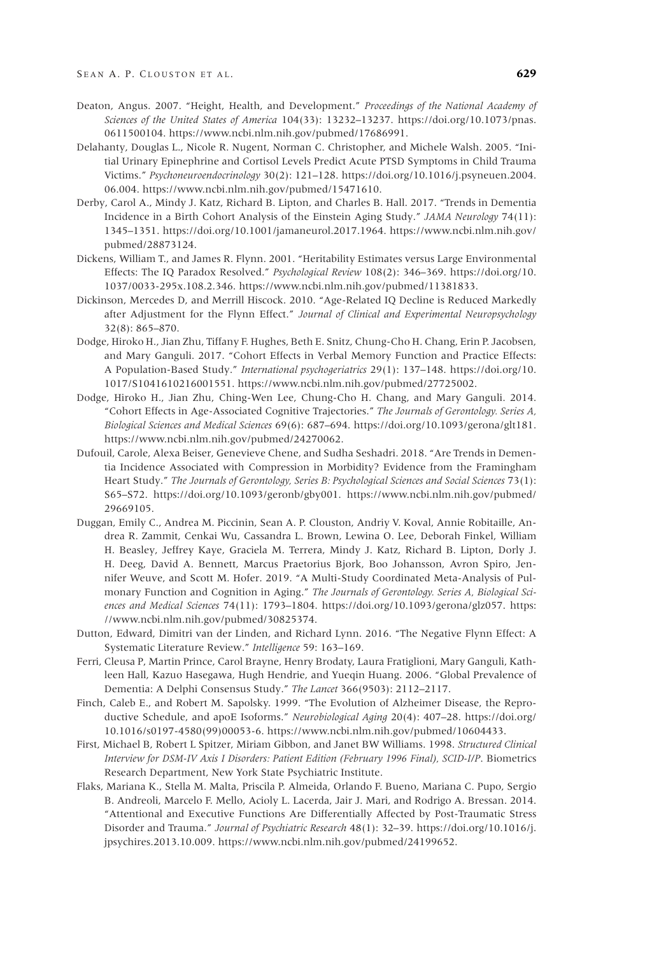- Deaton, Angus. 2007. "Height, Health, and Development." *Proceedings of the National Academy of Sciences of the United States of America* 104(33): 13232–13237. [https://doi.org/10.1073/pnas.](https://doi.org/10.1073/pnas.0611500104) [0611500104.](https://doi.org/10.1073/pnas.0611500104) [https://www.ncbi.nlm.nih.gov/pubmed/17686991.](https://www.ncbi.nlm.nih.gov/pubmed/17686991)
- Delahanty, Douglas L., Nicole R. Nugent, Norman C. Christopher, and Michele Walsh. 2005. "Initial Urinary Epinephrine and Cortisol Levels Predict Acute PTSD Symptoms in Child Trauma Victims." *Psychoneuroendocrinology* 30(2): 121–128. [https://doi.org/10.1016/j.psyneuen.2004.](https://doi.org/10.1016/j.psyneuen.2004.06.004) [06.004.](https://doi.org/10.1016/j.psyneuen.2004.06.004) [https://www.ncbi.nlm.nih.gov/pubmed/15471610.](https://www.ncbi.nlm.nih.gov/pubmed/15471610)
- Derby, Carol A., Mindy J. Katz, Richard B. Lipton, and Charles B. Hall. 2017. "Trends in Dementia Incidence in a Birth Cohort Analysis of the Einstein Aging Study." *JAMA Neurology* 74(11): 1345–1351. [https://doi.org/10.1001/jamaneurol.2017.1964.](https://doi.org/10.1001/jamaneurol.2017.1964) [https://www.ncbi.nlm.nih.gov/](https://www.ncbi.nlm.nih.gov/pubmed/28873124) [pubmed/28873124.](https://www.ncbi.nlm.nih.gov/pubmed/28873124)
- Dickens, William T., and James R. Flynn. 2001. "Heritability Estimates versus Large Environmental Effects: The IQ Paradox Resolved." *Psychological Review* 108(2): 346–369. [https://doi.org/10.](https://doi.org/10.1037/0033-295x.108.2.346) [1037/0033-295x.108.2.346.](https://doi.org/10.1037/0033-295x.108.2.346) [https://www.ncbi.nlm.nih.gov/pubmed/11381833.](https://www.ncbi.nlm.nih.gov/pubmed/11381833)
- Dickinson, Mercedes D, and Merrill Hiscock. 2010. "Age-Related IQ Decline is Reduced Markedly after Adjustment for the Flynn Effect." *Journal of Clinical and Experimental Neuropsychology* 32(8): 865–870.
- Dodge, Hiroko H., Jian Zhu, Tiffany F. Hughes, Beth E. Snitz, Chung-Cho H. Chang, Erin P. Jacobsen, and Mary Ganguli. 2017. "Cohort Effects in Verbal Memory Function and Practice Effects: A Population-Based Study." *International psychogeriatrics* 29(1): 137–148. [https://doi.org/10.](https://doi.org/10.1017/S1041610216001551) [1017/S1041610216001551.](https://doi.org/10.1017/S1041610216001551) [https://www.ncbi.nlm.nih.gov/pubmed/27725002.](https://www.ncbi.nlm.nih.gov/pubmed/27725002)
- Dodge, Hiroko H., Jian Zhu, Ching-Wen Lee, Chung-Cho H. Chang, and Mary Ganguli. 2014. "Cohort Effects in Age-Associated Cognitive Trajectories." *The Journals of Gerontology. Series A, Biological Sciences and Medical Sciences* 69(6): 687–694. [https://doi.org/10.1093/gerona/glt181.](https://doi.org/10.1093/gerona/glt181) [https://www.ncbi.nlm.nih.gov/pubmed/24270062.](https://www.ncbi.nlm.nih.gov/pubmed/24270062)
- Dufouil, Carole, Alexa Beiser, Genevieve Chene, and Sudha Seshadri. 2018. "Are Trends in Dementia Incidence Associated with Compression in Morbidity? Evidence from the Framingham Heart Study." *The Journals of Gerontology, Series B: Psychological Sciences and Social Sciences* 73(1): S65–S72. [https://doi.org/10.1093/geronb/gby001.](https://doi.org/10.1093/geronb/gby001) [https://www.ncbi.nlm.nih.gov/pubmed/](https://www.ncbi.nlm.nih.gov/pubmed/29669105) [29669105.](https://www.ncbi.nlm.nih.gov/pubmed/29669105)
- Duggan, Emily C., Andrea M. Piccinin, Sean A. P. Clouston, Andriy V. Koval, Annie Robitaille, Andrea R. Zammit, Cenkai Wu, Cassandra L. Brown, Lewina O. Lee, Deborah Finkel, William H. Beasley, Jeffrey Kaye, Graciela M. Terrera, Mindy J. Katz, Richard B. Lipton, Dorly J. H. Deeg, David A. Bennett, Marcus Praetorius Bjork, Boo Johansson, Avron Spiro, Jennifer Weuve, and Scott M. Hofer. 2019. "A Multi-Study Coordinated Meta-Analysis of Pulmonary Function and Cognition in Aging." *The Journals of Gerontology. Series A, Biological Sciences and Medical Sciences* 74(11): 1793–1804. [https://doi.org/10.1093/gerona/glz057.](https://doi.org/10.1093/gerona/glz057) [https:](https://www.ncbi.nlm.nih.gov/pubmed/30825374) [//www.ncbi.nlm.nih.gov/pubmed/30825374.](https://www.ncbi.nlm.nih.gov/pubmed/30825374)
- Dutton, Edward, Dimitri van der Linden, and Richard Lynn. 2016. "The Negative Flynn Effect: A Systematic Literature Review." *Intelligence* 59: 163–169.
- Ferri, Cleusa P, Martin Prince, Carol Brayne, Henry Brodaty, Laura Fratiglioni, Mary Ganguli, Kathleen Hall, Kazuo Hasegawa, Hugh Hendrie, and Yueqin Huang. 2006. "Global Prevalence of Dementia: A Delphi Consensus Study." *The Lancet* 366(9503): 2112–2117.
- Finch, Caleb E., and Robert M. Sapolsky. 1999. "The Evolution of Alzheimer Disease, the Reproductive Schedule, and apoE Isoforms." *Neurobiological Aging* 20(4): 407–28. [https://doi.org/](https://doi.org/10.1016/s0197-4580(99)00053-6) [10.1016/s0197-4580\(99\)00053-6.](https://doi.org/10.1016/s0197-4580(99)00053-6) [https://www.ncbi.nlm.nih.gov/pubmed/10604433.](https://www.ncbi.nlm.nih.gov/pubmed/10604433)
- First, Michael B, Robert L Spitzer, Miriam Gibbon, and Janet BW Williams. 1998. *Structured Clinical Interview for DSM-IV Axis I Disorders: Patient Edition (February 1996 Final), SCID-I/P*. Biometrics Research Department, New York State Psychiatric Institute.
- Flaks, Mariana K., Stella M. Malta, Priscila P. Almeida, Orlando F. Bueno, Mariana C. Pupo, Sergio B. Andreoli, Marcelo F. Mello, Acioly L. Lacerda, Jair J. Mari, and Rodrigo A. Bressan. 2014. "Attentional and Executive Functions Are Differentially Affected by Post-Traumatic Stress Disorder and Trauma." *Journal of Psychiatric Research* 48(1): 32–39. [https://doi.org/10.1016/j.](https://doi.org/10.1016/j.jpsychires.2013.10.009) [jpsychires.2013.10.009.](https://doi.org/10.1016/j.jpsychires.2013.10.009) [https://www.ncbi.nlm.nih.gov/pubmed/24199652.](https://www.ncbi.nlm.nih.gov/pubmed/24199652)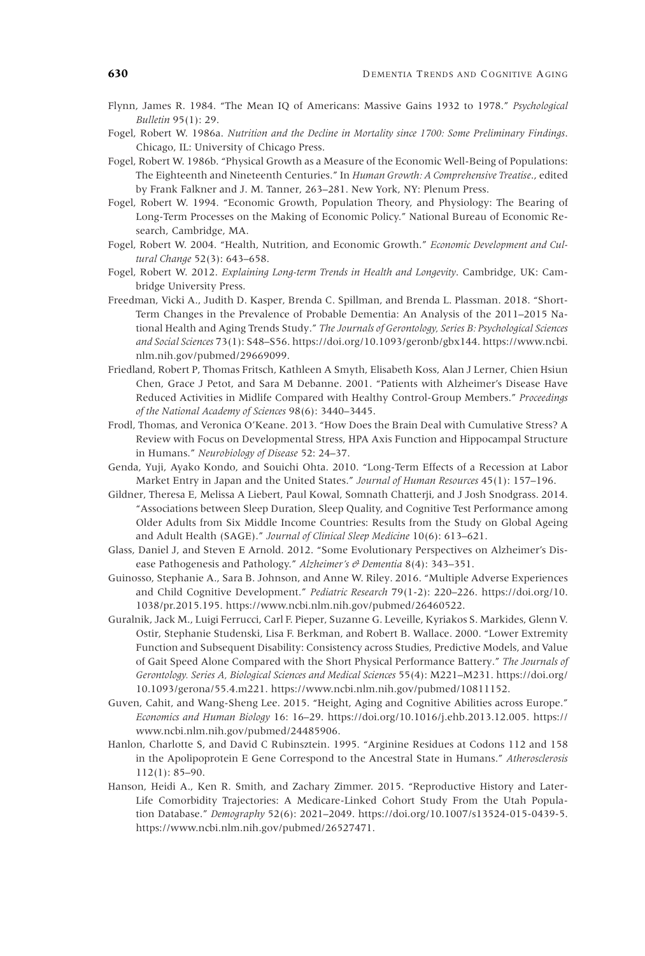- Flynn, James R. 1984. "The Mean IQ of Americans: Massive Gains 1932 to 1978." *Psychological Bulletin* 95(1): 29.
- Fogel, Robert W. 1986a. *Nutrition and the Decline in Mortality since 1700: Some Preliminary Findings*. Chicago, IL: University of Chicago Press.
- Fogel, Robert W. 1986b. "Physical Growth as a Measure of the Economic Well-Being of Populations: The Eighteenth and Nineteenth Centuries." In *Human Growth: A Comprehensive Treatise*., edited by Frank Falkner and J. M. Tanner, 263–281. New York, NY: Plenum Press.
- Fogel, Robert W. 1994. "Economic Growth, Population Theory, and Physiology: The Bearing of Long-Term Processes on the Making of Economic Policy." National Bureau of Economic Research, Cambridge, MA.
- Fogel, Robert W. 2004. "Health, Nutrition, and Economic Growth." *Economic Development and Cultural Change* 52(3): 643–658.
- Fogel, Robert W. 2012. *Explaining Long-term Trends in Health and Longevity*. Cambridge, UK: Cambridge University Press.
- Freedman, Vicki A., Judith D. Kasper, Brenda C. Spillman, and Brenda L. Plassman. 2018. "Short-Term Changes in the Prevalence of Probable Dementia: An Analysis of the 2011–2015 National Health and Aging Trends Study." *The Journals of Gerontology, Series B: Psychological Sciences and Social Sciences* 73(1): S48–S56. [https://doi.org/10.1093/geronb/gbx144.](https://doi.org/10.1093/geronb/gbx144) [https://www.ncbi.](https://www.ncbi.nlm.nih.gov/pubmed/29669099) [nlm.nih.gov/pubmed/29669099.](https://www.ncbi.nlm.nih.gov/pubmed/29669099)
- Friedland, Robert P, Thomas Fritsch, Kathleen A Smyth, Elisabeth Koss, Alan J Lerner, Chien Hsiun Chen, Grace J Petot, and Sara M Debanne. 2001. "Patients with Alzheimer's Disease Have Reduced Activities in Midlife Compared with Healthy Control-Group Members." *Proceedings of the National Academy of Sciences* 98(6): 3440–3445.
- Frodl, Thomas, and Veronica O'Keane. 2013. "How Does the Brain Deal with Cumulative Stress? A Review with Focus on Developmental Stress, HPA Axis Function and Hippocampal Structure in Humans." *Neurobiology of Disease* 52: 24–37.
- Genda, Yuji, Ayako Kondo, and Souichi Ohta. 2010. "Long-Term Effects of a Recession at Labor Market Entry in Japan and the United States." *Journal of Human Resources* 45(1): 157–196.
- Gildner, Theresa E, Melissa A Liebert, Paul Kowal, Somnath Chatterji, and J Josh Snodgrass. 2014. "Associations between Sleep Duration, Sleep Quality, and Cognitive Test Performance among Older Adults from Six Middle Income Countries: Results from the Study on Global Ageing and Adult Health (SAGE)." *Journal of Clinical Sleep Medicine* 10(6): 613–621.
- Glass, Daniel J, and Steven E Arnold. 2012. "Some Evolutionary Perspectives on Alzheimer's Disease Pathogenesis and Pathology." *Alzheimer's & Dementia* 8(4): 343–351.
- Guinosso, Stephanie A., Sara B. Johnson, and Anne W. Riley. 2016. "Multiple Adverse Experiences and Child Cognitive Development." *Pediatric Research* 79(1-2): 220–226. [https://doi.org/10.](https://doi.org/10.1038/pr.2015.195) [1038/pr.2015.195.](https://doi.org/10.1038/pr.2015.195) [https://www.ncbi.nlm.nih.gov/pubmed/26460522.](https://www.ncbi.nlm.nih.gov/pubmed/26460522)
- Guralnik, Jack M., Luigi Ferrucci, Carl F. Pieper, Suzanne G. Leveille, Kyriakos S. Markides, Glenn V. Ostir, Stephanie Studenski, Lisa F. Berkman, and Robert B. Wallace. 2000. "Lower Extremity Function and Subsequent Disability: Consistency across Studies, Predictive Models, and Value of Gait Speed Alone Compared with the Short Physical Performance Battery." *The Journals of Gerontology. Series A, Biological Sciences and Medical Sciences* 55(4): M221–M231. [https://doi.org/](https://doi.org/10.1093/gerona/55.4.m221) [10.1093/gerona/55.4.m221.](https://doi.org/10.1093/gerona/55.4.m221) [https://www.ncbi.nlm.nih.gov/pubmed/10811152.](https://www.ncbi.nlm.nih.gov/pubmed/10811152)
- Guven, Cahit, and Wang-Sheng Lee. 2015. "Height, Aging and Cognitive Abilities across Europe." *Economics and Human Biology* 16: 16–29. [https://doi.org/10.1016/j.ehb.2013.12.005.](https://doi.org/10.1016/j.ehb.2013.12.005) [https://](https://www.ncbi.nlm.nih.gov/pubmed/24485906) [www.ncbi.nlm.nih.gov/pubmed/24485906.](https://www.ncbi.nlm.nih.gov/pubmed/24485906)
- Hanlon, Charlotte S, and David C Rubinsztein. 1995. "Arginine Residues at Codons 112 and 158 in the Apolipoprotein E Gene Correspond to the Ancestral State in Humans." *Atherosclerosis* 112(1): 85–90.
- Hanson, Heidi A., Ken R. Smith, and Zachary Zimmer. 2015. "Reproductive History and Later-Life Comorbidity Trajectories: A Medicare-Linked Cohort Study From the Utah Population Database." *Demography* 52(6): 2021–2049. [https://doi.org/10.1007/s13524-015-0439-5.](https://doi.org/10.1007/s13524-015-0439-5) [https://www.ncbi.nlm.nih.gov/pubmed/26527471.](https://www.ncbi.nlm.nih.gov/pubmed/26527471)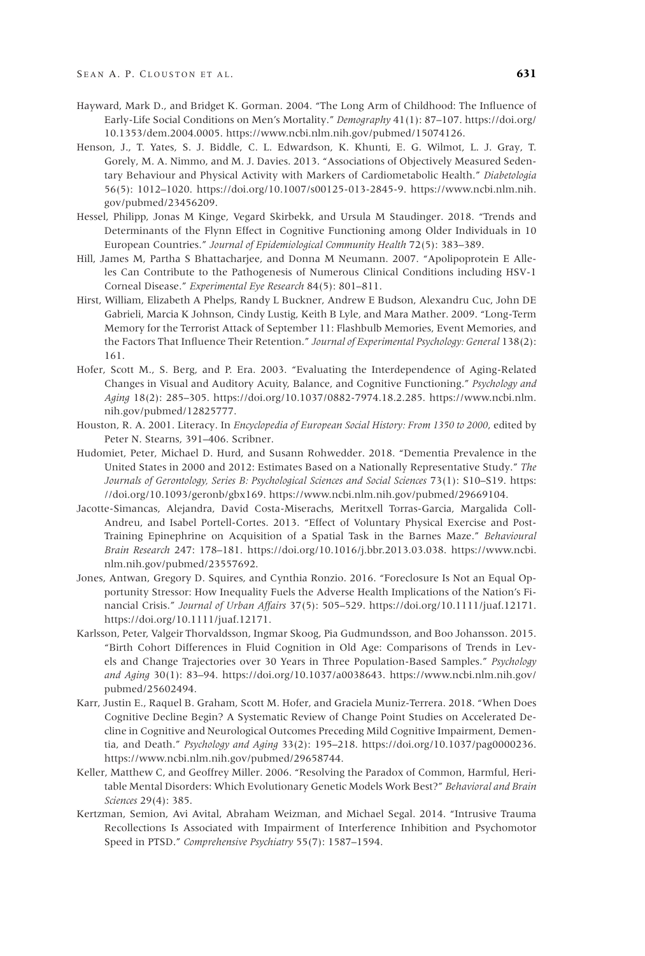- Hayward, Mark D., and Bridget K. Gorman. 2004. "The Long Arm of Childhood: The Influence of Early-Life Social Conditions on Men's Mortality." *Demography* 41(1): 87–107. [https://doi.org/](https://doi.org/10.1353/dem.2004.0005) [10.1353/dem.2004.0005.](https://doi.org/10.1353/dem.2004.0005) [https://www.ncbi.nlm.nih.gov/pubmed/15074126.](https://www.ncbi.nlm.nih.gov/pubmed/15074126)
- Henson, J., T. Yates, S. J. Biddle, C. L. Edwardson, K. Khunti, E. G. Wilmot, L. J. Gray, T. Gorely, M. A. Nimmo, and M. J. Davies. 2013. "Associations of Objectively Measured Sedentary Behaviour and Physical Activity with Markers of Cardiometabolic Health." *Diabetologia* 56(5): 1012–1020. [https://doi.org/10.1007/s00125-013-2845-9.](https://doi.org/10.1007/s00125-013-2845-9) [https://www.ncbi.nlm.nih.](https://www.ncbi.nlm.nih.gov/pubmed/23456209) [gov/pubmed/23456209.](https://www.ncbi.nlm.nih.gov/pubmed/23456209)
- Hessel, Philipp, Jonas M Kinge, Vegard Skirbekk, and Ursula M Staudinger. 2018. "Trends and Determinants of the Flynn Effect in Cognitive Functioning among Older Individuals in 10 European Countries." *Journal of Epidemiological Community Health* 72(5): 383–389.
- Hill, James M, Partha S Bhattacharjee, and Donna M Neumann. 2007. "Apolipoprotein E Alleles Can Contribute to the Pathogenesis of Numerous Clinical Conditions including HSV-1 Corneal Disease." *Experimental Eye Research* 84(5): 801–811.
- Hirst, William, Elizabeth A Phelps, Randy L Buckner, Andrew E Budson, Alexandru Cuc, John DE Gabrieli, Marcia K Johnson, Cindy Lustig, Keith B Lyle, and Mara Mather. 2009. "Long-Term Memory for the Terrorist Attack of September 11: Flashbulb Memories, Event Memories, and the Factors That Influence Their Retention." *Journal of Experimental Psychology: General* 138(2): 161.
- Hofer, Scott M., S. Berg, and P. Era. 2003. "Evaluating the Interdependence of Aging-Related Changes in Visual and Auditory Acuity, Balance, and Cognitive Functioning." *Psychology and Aging* 18(2): 285–305. [https://doi.org/10.1037/0882-7974.18.2.285.](https://doi.org/10.1037/0882-7974.18.2.285) [https://www.ncbi.nlm.](https://www.ncbi.nlm.nih.gov/pubmed/12825777) [nih.gov/pubmed/12825777.](https://www.ncbi.nlm.nih.gov/pubmed/12825777)
- Houston, R. A. 2001. Literacy. In *Encyclopedia of European Social History: From 1350 to 2000*, edited by Peter N. Stearns, 391–406. Scribner.
- Hudomiet, Peter, Michael D. Hurd, and Susann Rohwedder. 2018. "Dementia Prevalence in the United States in 2000 and 2012: Estimates Based on a Nationally Representative Study." *The Journals of Gerontology, Series B: Psychological Sciences and Social Sciences* 73(1): S10–S19. [https:](https://doi.org/10.1093/geronb/gbx169) [//doi.org/10.1093/geronb/gbx169.](https://doi.org/10.1093/geronb/gbx169) [https://www.ncbi.nlm.nih.gov/pubmed/29669104.](https://www.ncbi.nlm.nih.gov/pubmed/29669104)
- Jacotte-Simancas, Alejandra, David Costa-Miserachs, Meritxell Torras-Garcia, Margalida Coll-Andreu, and Isabel Portell-Cortes. 2013. "Effect of Voluntary Physical Exercise and Post-Training Epinephrine on Acquisition of a Spatial Task in the Barnes Maze." *Behavioural Brain Research* 247: 178–181. [https://doi.org/10.1016/j.bbr.2013.03.038.](https://doi.org/10.1016/j.bbr.2013.03.038) [https://www.ncbi.](https://www.ncbi.nlm.nih.gov/pubmed/23557692) [nlm.nih.gov/pubmed/23557692.](https://www.ncbi.nlm.nih.gov/pubmed/23557692)
- Jones, Antwan, Gregory D. Squires, and Cynthia Ronzio. 2016. "Foreclosure Is Not an Equal Opportunity Stressor: How Inequality Fuels the Adverse Health Implications of the Nation's Financial Crisis." *Journal of Urban Affairs* 37(5): 505–529. [https://doi.org/10.1111/juaf.12171.](https://doi.org/10.1111/juaf.12171) [https://doi.org/10.1111/juaf.12171.](https://doi.org/10.1111/juaf.12171)
- Karlsson, Peter, Valgeir Thorvaldsson, Ingmar Skoog, Pia Gudmundsson, and Boo Johansson. 2015. "Birth Cohort Differences in Fluid Cognition in Old Age: Comparisons of Trends in Levels and Change Trajectories over 30 Years in Three Population-Based Samples." *Psychology and Aging* 30(1): 83–94. [https://doi.org/10.1037/a0038643.](https://doi.org/10.1037/a0038643) [https://www.ncbi.nlm.nih.gov/](https://www.ncbi.nlm.nih.gov/pubmed/25602494) [pubmed/25602494.](https://www.ncbi.nlm.nih.gov/pubmed/25602494)
- Karr, Justin E., Raquel B. Graham, Scott M. Hofer, and Graciela Muniz-Terrera. 2018. "When Does Cognitive Decline Begin? A Systematic Review of Change Point Studies on Accelerated Decline in Cognitive and Neurological Outcomes Preceding Mild Cognitive Impairment, Dementia, and Death." *Psychology and Aging* 33(2): 195–218. [https://doi.org/10.1037/pag0000236.](https://doi.org/10.1037/pag0000236) [https://www.ncbi.nlm.nih.gov/pubmed/29658744.](https://www.ncbi.nlm.nih.gov/pubmed/29658744)
- Keller, Matthew C, and Geoffrey Miller. 2006. "Resolving the Paradox of Common, Harmful, Heritable Mental Disorders: Which Evolutionary Genetic Models Work Best?" *Behavioral and Brain Sciences* 29(4): 385.
- Kertzman, Semion, Avi Avital, Abraham Weizman, and Michael Segal. 2014. "Intrusive Trauma Recollections Is Associated with Impairment of Interference Inhibition and Psychomotor Speed in PTSD." *Comprehensive Psychiatry* 55(7): 1587–1594.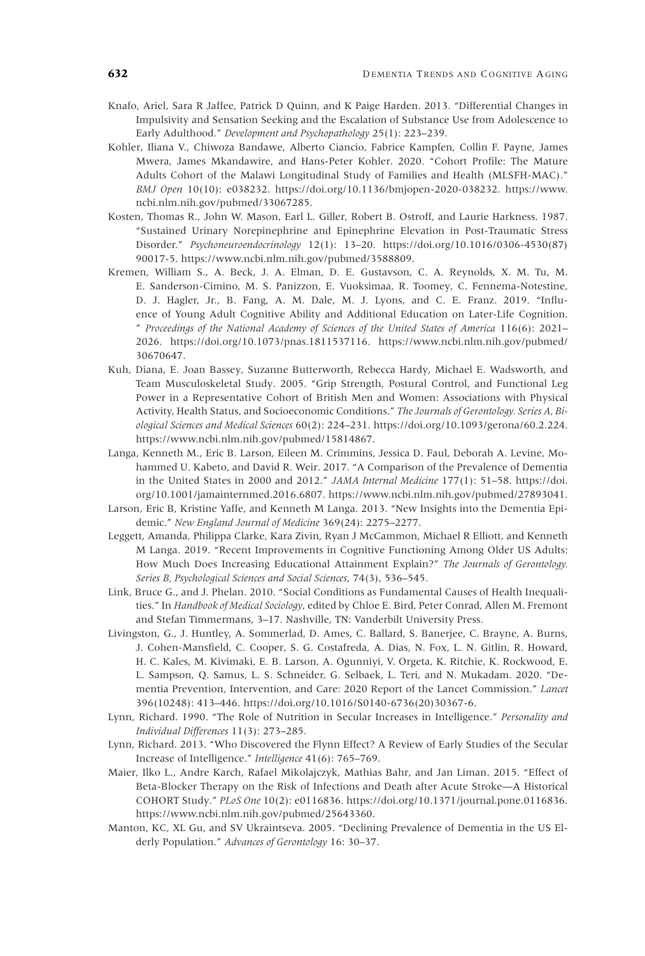- Knafo, Ariel, Sara R Jaffee, Patrick D Quinn, and K Paige Harden. 2013. "Differential Changes in Impulsivity and Sensation Seeking and the Escalation of Substance Use from Adolescence to Early Adulthood." *Development and Psychopathology* 25(1): 223–239.
- Kohler, Iliana V., Chiwoza Bandawe, Alberto Ciancio, Fabrice Kampfen, Collin F. Payne, James Mwera, James Mkandawire, and Hans-Peter Kohler. 2020. "Cohort Profile: The Mature Adults Cohort of the Malawi Longitudinal Study of Families and Health (MLSFH-MAC)." *BMJ Open* 10(10): e038232. [https://doi.org/10.1136/bmjopen-2020-038232.](https://doi.org/10.1136/bmjopen-2020-038232) [https://www.](https://www.ncbi.nlm.nih.gov/pubmed/33067285) [ncbi.nlm.nih.gov/pubmed/33067285.](https://www.ncbi.nlm.nih.gov/pubmed/33067285)
- Kosten, Thomas R., John W. Mason, Earl L. Giller, Robert B. Ostroff, and Laurie Harkness. 1987. "Sustained Urinary Norepinephrine and Epinephrine Elevation in Post-Traumatic Stress Disorder." *Psychoneuroendocrinology* 12(1): 13–20. [https://doi.org/10.1016/0306-4530\(87\)](https://doi.org/10.1016/0306-4530(87)90017-5) [90017-5.](https://doi.org/10.1016/0306-4530(87)90017-5) [https://www.ncbi.nlm.nih.gov/pubmed/3588809.](https://www.ncbi.nlm.nih.gov/pubmed/3588809)
- Kremen, William S., A. Beck, J. A. Elman, D. E. Gustavson, C. A. Reynolds, X. M. Tu, M. E. Sanderson-Cimino, M. S. Panizzon, E. Vuoksimaa, R. Toomey, C. Fennema-Notestine, D. J. Hagler, Jr., B. Fang, A. M. Dale, M. J. Lyons, and C. E. Franz. 2019. "Influence of Young Adult Cognitive Ability and Additional Education on Later-Life Cognition. " *Proceedings of the National Academy of Sciences of the United States of America* 116(6): 2021– 2026. [https://doi.org/10.1073/pnas.1811537116.](https://doi.org/10.1073/pnas.1811537116) [https://www.ncbi.nlm.nih.gov/pubmed/](https://www.ncbi.nlm.nih.gov/pubmed/30670647) [30670647.](https://www.ncbi.nlm.nih.gov/pubmed/30670647)
- Kuh, Diana, E. Joan Bassey, Suzanne Butterworth, Rebecca Hardy, Michael E. Wadsworth, and Team Musculoskeletal Study. 2005. "Grip Strength, Postural Control, and Functional Leg Power in a Representative Cohort of British Men and Women: Associations with Physical Activity, Health Status, and Socioeconomic Conditions." *The Journals of Gerontology. Series A, Biological Sciences and Medical Sciences* 60(2): 224–231. [https://doi.org/10.1093/gerona/60.2.224.](https://doi.org/10.1093/gerona/60.2.224) [https://www.ncbi.nlm.nih.gov/pubmed/15814867.](https://www.ncbi.nlm.nih.gov/pubmed/15814867)
- Langa, Kenneth M., Eric B. Larson, Eileen M. Crimmins, Jessica D. Faul, Deborah A. Levine, Mohammed U. Kabeto, and David R. Weir. 2017. "A Comparison of the Prevalence of Dementia in the United States in 2000 and 2012." *JAMA Internal Medicine* 177(1): 51–58. [https://doi.](https://doi.org/10.1001/jamainternmed.2016.6807) [org/10.1001/jamainternmed.2016.6807.](https://doi.org/10.1001/jamainternmed.2016.6807) [https://www.ncbi.nlm.nih.gov/pubmed/27893041.](https://www.ncbi.nlm.nih.gov/pubmed/27893041)
- Larson, Eric B, Kristine Yaffe, and Kenneth M Langa. 2013. "New Insights into the Dementia Epidemic." *New England Journal of Medicine* 369(24): 2275–2277.
- Leggett, Amanda, Philippa Clarke, Kara Zivin, Ryan J McCammon, Michael R Elliott, and Kenneth M Langa. 2019. "Recent Improvements in Cognitive Functioning Among Older US Adults: How Much Does Increasing Educational Attainment Explain?" *The Journals of Gerontology. Series B, Psychological Sciences and Social Sciences*, 74(3), 536–545.
- Link, Bruce G., and J. Phelan. 2010. "Social Conditions as Fundamental Causes of Health Inequalities." In *Handbook of Medical Sociology*, edited by Chloe E. Bird, Peter Conrad, Allen M. Fremont and Stefan Timmermans, 3–17. Nashville, TN: Vanderbilt University Press.
- Livingston, G., J. Huntley, A. Sommerlad, D. Ames, C. Ballard, S. Banerjee, C. Brayne, A. Burns, J. Cohen-Mansfield, C. Cooper, S. G. Costafreda, A. Dias, N. Fox, L. N. Gitlin, R. Howard, H. C. Kales, M. Kivimaki, E. B. Larson, A. Ogunniyi, V. Orgeta, K. Ritchie, K. Rockwood, E. L. Sampson, Q. Samus, L. S. Schneider, G. Selbaek, L. Teri, and N. Mukadam. 2020. "Dementia Prevention, Intervention, and Care: 2020 Report of the Lancet Commission." *Lancet* 396(10248): 413–446. [https://doi.org/10.1016/S0140-6736\(20\)30367-6.](https://doi.org/10.1016/S0140-6736(20)30367-6)
- Lynn, Richard. 1990. "The Role of Nutrition in Secular Increases in Intelligence." *Personality and Individual Differences* 11(3): 273–285.
- Lynn, Richard. 2013. "Who Discovered the Flynn Effect? A Review of Early Studies of the Secular Increase of Intelligence." *Intelligence* 41(6): 765–769.
- Maier, Ilko L., Andre Karch, Rafael Mikolajczyk, Mathias Bahr, and Jan Liman. 2015. "Effect of Beta-Blocker Therapy on the Risk of Infections and Death after Acute Stroke—A Historical COHORT Study." *PLoS One* 10(2): e0116836. [https://doi.org/10.1371/journal.pone.0116836.](https://doi.org/10.1371/journal.pone.0116836) [https://www.ncbi.nlm.nih.gov/pubmed/25643360.](https://www.ncbi.nlm.nih.gov/pubmed/25643360)
- Manton, KC, XL Gu, and SV Ukraintseva. 2005. "Declining Prevalence of Dementia in the US Elderly Population." *Advances of Gerontology* 16: 30–37.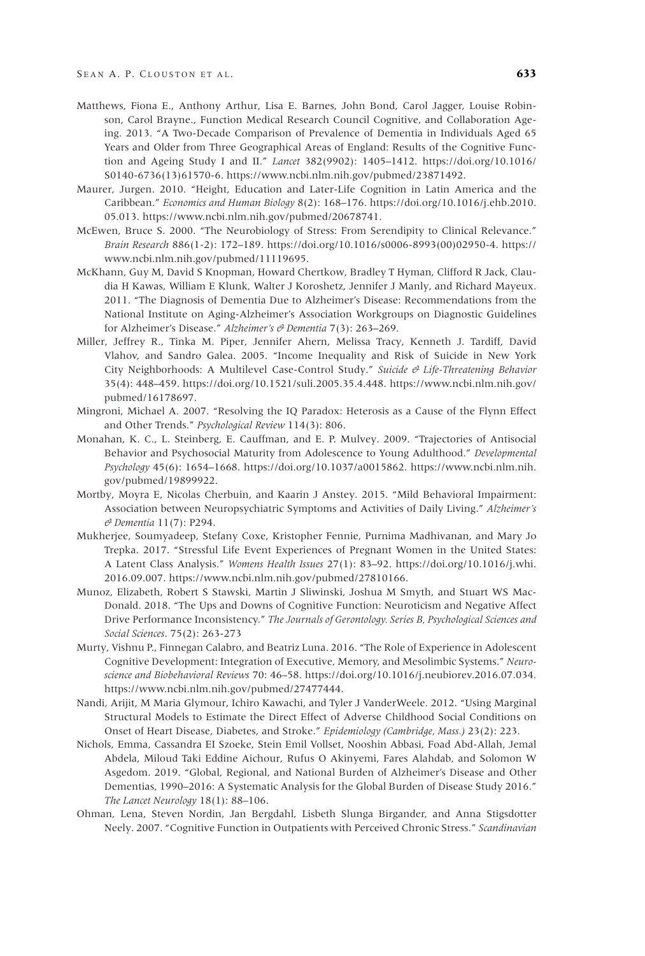- Matthews, Fiona E., Anthony Arthur, Lisa E. Barnes, John Bond, Carol Jagger, Louise Robinson, Carol Brayne., Function Medical Research Council Cognitive, and Collaboration Ageing. 2013. "A Two-Decade Comparison of Prevalence of Dementia in Individuals Aged 65 Years and Older from Three Geographical Areas of England: Results of the Cognitive Function and Ageing Study I and II." *Lancet* 382(9902): 1405–1412. [https://doi.org/10.1016/](https://doi.org/10.1016/S0140-6736(13)61570-6) [S0140-6736\(13\)61570-6.](https://doi.org/10.1016/S0140-6736(13)61570-6) [https://www.ncbi.nlm.nih.gov/pubmed/23871492.](https://www.ncbi.nlm.nih.gov/pubmed/23871492)
- Maurer, Jurgen. 2010. "Height, Education and Later-Life Cognition in Latin America and the Caribbean." *Economics and Human Biology* 8(2): 168–176. [https://doi.org/10.1016/j.ehb.2010.](https://doi.org/10.1016/j.ehb.2010.05.013) [05.013.](https://doi.org/10.1016/j.ehb.2010.05.013) [https://www.ncbi.nlm.nih.gov/pubmed/20678741.](https://www.ncbi.nlm.nih.gov/pubmed/20678741)
- McEwen, Bruce S. 2000. "The Neurobiology of Stress: From Serendipity to Clinical Relevance." *Brain Research* 886(1-2): 172–189. [https://doi.org/10.1016/s0006-8993\(00\)02950-4.](https://doi.org/10.1016/s0006-8993(00)02950-4) [https://](https://www.ncbi.nlm.nih.gov/pubmed/11119695) [www.ncbi.nlm.nih.gov/pubmed/11119695.](https://www.ncbi.nlm.nih.gov/pubmed/11119695)
- McKhann, Guy M, David S Knopman, Howard Chertkow, Bradley T Hyman, Clifford R Jack, Claudia H Kawas, William E Klunk, Walter J Koroshetz, Jennifer J Manly, and Richard Mayeux. 2011. "The Diagnosis of Dementia Due to Alzheimer's Disease: Recommendations from the National Institute on Aging-Alzheimer's Association Workgroups on Diagnostic Guidelines for Alzheimer's Disease." *Alzheimer's & Dementia* 7(3): 263–269.
- Miller, Jeffrey R., Tinka M. Piper, Jennifer Ahern, Melissa Tracy, Kenneth J. Tardiff, David Vlahov, and Sandro Galea. 2005. "Income Inequality and Risk of Suicide in New York City Neighborhoods: A Multilevel Case-Control Study." *Suicide & Life-Threatening Behavior* 35(4): 448–459. [https://doi.org/10.1521/suli.2005.35.4.448.](https://doi.org/10.1521/suli.2005.35.4.448) [https://www.ncbi.nlm.nih.gov/](https://www.ncbi.nlm.nih.gov/pubmed/16178697) [pubmed/16178697.](https://www.ncbi.nlm.nih.gov/pubmed/16178697)
- Mingroni, Michael A. 2007. "Resolving the IQ Paradox: Heterosis as a Cause of the Flynn Effect and Other Trends." *Psychological Review* 114(3): 806.
- Monahan, K. C., L. Steinberg, E. Cauffman, and E. P. Mulvey. 2009. "Trajectories of Antisocial Behavior and Psychosocial Maturity from Adolescence to Young Adulthood." *Developmental Psychology* 45(6): 1654–1668. [https://doi.org/10.1037/a0015862.](https://doi.org/10.1037/a0015862) [https://www.ncbi.nlm.nih.](https://www.ncbi.nlm.nih.gov/pubmed/19899922) [gov/pubmed/19899922.](https://www.ncbi.nlm.nih.gov/pubmed/19899922)
- Mortby, Moyra E, Nicolas Cherbuin, and Kaarin J Anstey. 2015. "Mild Behavioral Impairment: Association between Neuropsychiatric Symptoms and Activities of Daily Living." *Alzheimer's & Dementia* 11(7): P294.
- Mukherjee, Soumyadeep, Stefany Coxe, Kristopher Fennie, Purnima Madhivanan, and Mary Jo Trepka. 2017. "Stressful Life Event Experiences of Pregnant Women in the United States: A Latent Class Analysis." *Womens Health Issues* 27(1): 83–92. [https://doi.org/10.1016/j.whi.](https://doi.org/10.1016/j.whi.2016.09.007) [2016.09.007.](https://doi.org/10.1016/j.whi.2016.09.007) [https://www.ncbi.nlm.nih.gov/pubmed/27810166.](https://www.ncbi.nlm.nih.gov/pubmed/27810166)
- Munoz, Elizabeth, Robert S Stawski, Martin J Sliwinski, Joshua M Smyth, and Stuart WS Mac-Donald. 2018. "The Ups and Downs of Cognitive Function: Neuroticism and Negative Affect Drive Performance Inconsistency." *The Journals of Gerontology. Series B, Psychological Sciences and Social Sciences*. 75(2): 263-273
- Murty, Vishnu P., Finnegan Calabro, and Beatriz Luna. 2016. "The Role of Experience in Adolescent Cognitive Development: Integration of Executive, Memory, and Mesolimbic Systems." *Neuroscience and Biobehavioral Reviews* 70: 46–58. [https://doi.org/10.1016/j.neubiorev.2016.07.034.](https://doi.org/10.1016/j.neubiorev.2016.07.034) [https://www.ncbi.nlm.nih.gov/pubmed/27477444.](https://www.ncbi.nlm.nih.gov/pubmed/27477444)
- Nandi, Arijit, M Maria Glymour, Ichiro Kawachi, and Tyler J VanderWeele. 2012. "Using Marginal Structural Models to Estimate the Direct Effect of Adverse Childhood Social Conditions on Onset of Heart Disease, Diabetes, and Stroke." *Epidemiology (Cambridge, Mass.)* 23(2): 223.
- Nichols, Emma, Cassandra EI Szoeke, Stein Emil Vollset, Nooshin Abbasi, Foad Abd-Allah, Jemal Abdela, Miloud Taki Eddine Aichour, Rufus O Akinyemi, Fares Alahdab, and Solomon W Asgedom. 2019. "Global, Regional, and National Burden of Alzheimer's Disease and Other Dementias, 1990–2016: A Systematic Analysis for the Global Burden of Disease Study 2016." *The Lancet Neurology* 18(1): 88–106.
- Ohman, Lena, Steven Nordin, Jan Bergdahl, Lisbeth Slunga Birgander, and Anna Stigsdotter Neely. 2007. "Cognitive Function in Outpatients with Perceived Chronic Stress." *Scandinavian*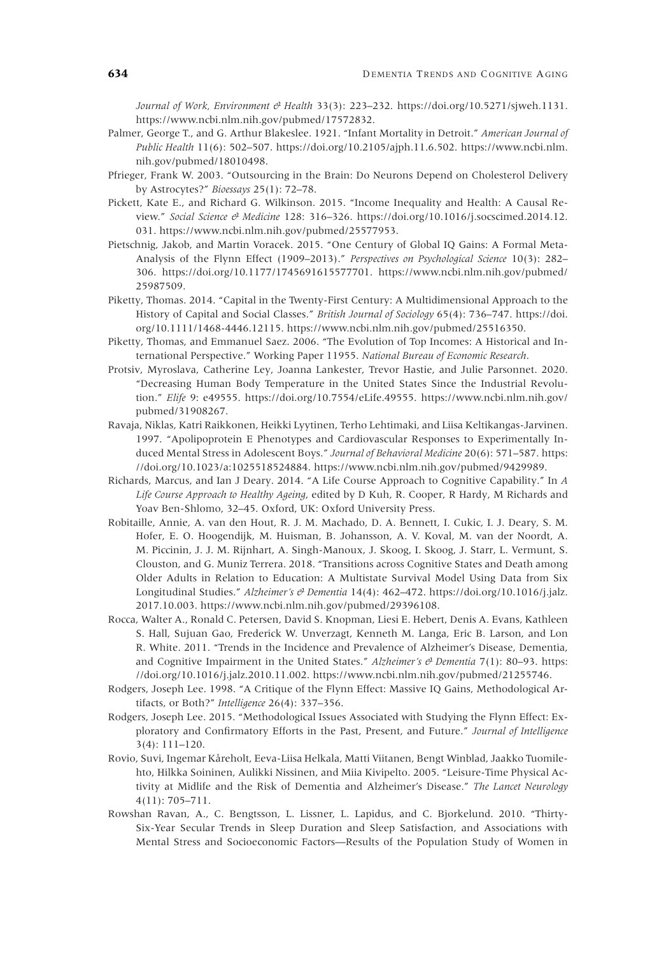*Journal of Work, Environment & Health* 33(3): 223–232. [https://doi.org/10.5271/sjweh.1131.](https://doi.org/10.5271/sjweh.1131) [https://www.ncbi.nlm.nih.gov/pubmed/17572832.](https://www.ncbi.nlm.nih.gov/pubmed/17572832)

- Palmer, George T., and G. Arthur Blakeslee. 1921. "Infant Mortality in Detroit." *American Journal of Public Health* 11(6): 502–507. [https://doi.org/10.2105/ajph.11.6.502.](https://doi.org/10.2105/ajph.11.6.502) [https://www.ncbi.nlm.](https://www.ncbi.nlm.nih.gov/pubmed/18010498) [nih.gov/pubmed/18010498.](https://www.ncbi.nlm.nih.gov/pubmed/18010498)
- Pfrieger, Frank W. 2003. "Outsourcing in the Brain: Do Neurons Depend on Cholesterol Delivery by Astrocytes?" *Bioessays* 25(1): 72–78.
- Pickett, Kate E., and Richard G. Wilkinson. 2015. "Income Inequality and Health: A Causal Review." *Social Science & Medicine* 128: 316–326. [https://doi.org/10.1016/j.socscimed.2014.12.](https://doi.org/10.1016/j.socscimed.2014.12.031) [031.](https://doi.org/10.1016/j.socscimed.2014.12.031) [https://www.ncbi.nlm.nih.gov/pubmed/25577953.](https://www.ncbi.nlm.nih.gov/pubmed/25577953)
- Pietschnig, Jakob, and Martin Voracek. 2015. "One Century of Global IQ Gains: A Formal Meta-Analysis of the Flynn Effect (1909–2013)." *Perspectives on Psychological Science* 10(3): 282– 306. [https://doi.org/10.1177/1745691615577701.](https://doi.org/10.1177/1745691615577701) [https://www.ncbi.nlm.nih.gov/pubmed/](https://www.ncbi.nlm.nih.gov/pubmed/25987509) [25987509.](https://www.ncbi.nlm.nih.gov/pubmed/25987509)
- Piketty, Thomas. 2014. "Capital in the Twenty-First Century: A Multidimensional Approach to the History of Capital and Social Classes." *British Journal of Sociology* 65(4): 736–747. [https://doi.](https://doi.org/10.1111/1468-4446.12115) [org/10.1111/1468-4446.12115.](https://doi.org/10.1111/1468-4446.12115) [https://www.ncbi.nlm.nih.gov/pubmed/25516350.](https://www.ncbi.nlm.nih.gov/pubmed/25516350)
- Piketty, Thomas, and Emmanuel Saez. 2006. "The Evolution of Top Incomes: A Historical and International Perspective." Working Paper 11955. *National Bureau of Economic Research*.
- Protsiv, Myroslava, Catherine Ley, Joanna Lankester, Trevor Hastie, and Julie Parsonnet. 2020. "Decreasing Human Body Temperature in the United States Since the Industrial Revolution." *Elife* 9: e49555. [https://doi.org/10.7554/eLife.49555.](https://doi.org/10.7554/eLife.49555) [https://www.ncbi.nlm.nih.gov/](https://www.ncbi.nlm.nih.gov/pubmed/31908267) [pubmed/31908267.](https://www.ncbi.nlm.nih.gov/pubmed/31908267)
- Ravaja, Niklas, Katri Raikkonen, Heikki Lyytinen, Terho Lehtimaki, and Liisa Keltikangas-Jarvinen. 1997. "Apolipoprotein E Phenotypes and Cardiovascular Responses to Experimentally Induced Mental Stress in Adolescent Boys." *Journal of Behavioral Medicine* 20(6): 571–587. [https:](https://doi.org/10.1023/a:1025518524884) [//doi.org/10.1023/a:1025518524884.](https://doi.org/10.1023/a:1025518524884) [https://www.ncbi.nlm.nih.gov/pubmed/9429989.](https://www.ncbi.nlm.nih.gov/pubmed/9429989)
- Richards, Marcus, and Ian J Deary. 2014. "A Life Course Approach to Cognitive Capability." In *A Life Course Approach to Healthy Ageing*, edited by D Kuh, R. Cooper, R Hardy, M Richards and Yoav Ben-Shlomo, 32–45. Oxford, UK: Oxford University Press.
- Robitaille, Annie, A. van den Hout, R. J. M. Machado, D. A. Bennett, I. Cukic, I. J. Deary, S. M. Hofer, E. O. Hoogendijk, M. Huisman, B. Johansson, A. V. Koval, M. van der Noordt, A. M. Piccinin, J. J. M. Rijnhart, A. Singh-Manoux, J. Skoog, I. Skoog, J. Starr, L. Vermunt, S. Clouston, and G. Muniz Terrera. 2018. "Transitions across Cognitive States and Death among Older Adults in Relation to Education: A Multistate Survival Model Using Data from Six Longitudinal Studies." *Alzheimer's & Dementia* 14(4): 462–472. [https://doi.org/10.1016/j.jalz.](https://doi.org/10.1016/j.jalz.2017.10.003) [2017.10.003.](https://doi.org/10.1016/j.jalz.2017.10.003) [https://www.ncbi.nlm.nih.gov/pubmed/29396108.](https://www.ncbi.nlm.nih.gov/pubmed/29396108)
- Rocca, Walter A., Ronald C. Petersen, David S. Knopman, Liesi E. Hebert, Denis A. Evans, Kathleen S. Hall, Sujuan Gao, Frederick W. Unverzagt, Kenneth M. Langa, Eric B. Larson, and Lon R. White. 2011. "Trends in the Incidence and Prevalence of Alzheimer's Disease, Dementia, and Cognitive Impairment in the United States." *Alzheimer's & Dementia* 7(1): 80–93. [https:](https://doi.org/10.1016/j.jalz.2010.11.002) [//doi.org/10.1016/j.jalz.2010.11.002.](https://doi.org/10.1016/j.jalz.2010.11.002) [https://www.ncbi.nlm.nih.gov/pubmed/21255746.](https://www.ncbi.nlm.nih.gov/pubmed/21255746)
- Rodgers, Joseph Lee. 1998. "A Critique of the Flynn Effect: Massive IQ Gains, Methodological Artifacts, or Both?" *Intelligence* 26(4): 337–356.
- Rodgers, Joseph Lee. 2015. "Methodological Issues Associated with Studying the Flynn Effect: Exploratory and Confirmatory Efforts in the Past, Present, and Future." *Journal of Intelligence* 3(4): 111–120.
- Rovio, Suvi, Ingemar Kåreholt, Eeva-Liisa Helkala, Matti Viitanen, Bengt Winblad, Jaakko Tuomilehto, Hilkka Soininen, Aulikki Nissinen, and Miia Kivipelto. 2005. "Leisure-Time Physical Activity at Midlife and the Risk of Dementia and Alzheimer's Disease." *The Lancet Neurology* 4(11): 705–711.
- Rowshan Ravan, A., C. Bengtsson, L. Lissner, L. Lapidus, and C. Bjorkelund. 2010. "Thirty-Six-Year Secular Trends in Sleep Duration and Sleep Satisfaction, and Associations with Mental Stress and Socioeconomic Factors—Results of the Population Study of Women in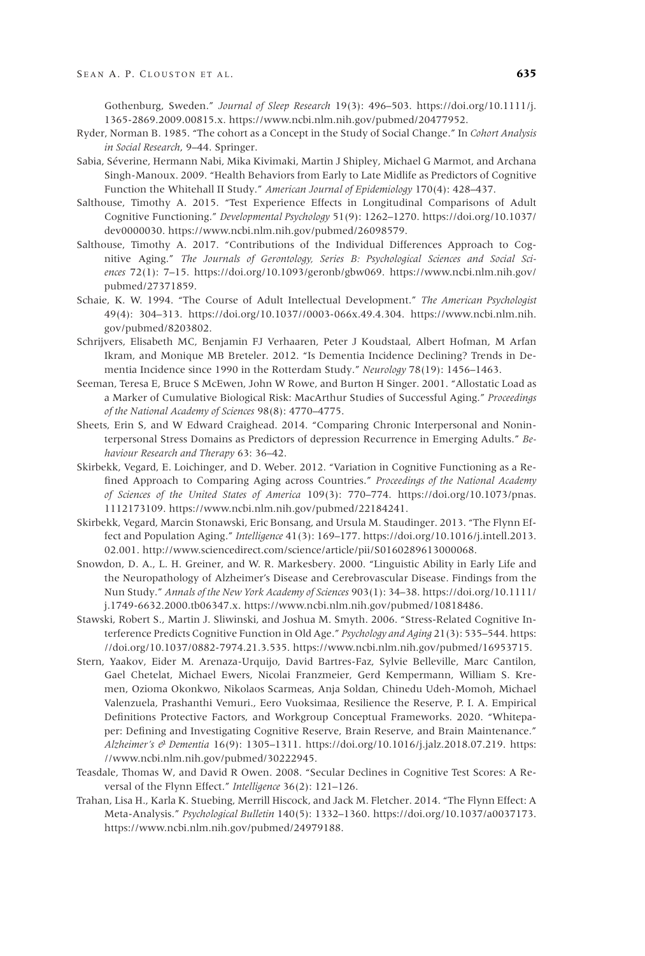Gothenburg, Sweden." *Journal of Sleep Research* 19(3): 496–503. [https://doi.org/10.1111/j.](https://doi.org/10.1111/j.1365-2869.2009.00815.x) [1365-2869.2009.00815.x.](https://doi.org/10.1111/j.1365-2869.2009.00815.x) [https://www.ncbi.nlm.nih.gov/pubmed/20477952.](https://www.ncbi.nlm.nih.gov/pubmed/20477952)

- Ryder, Norman B. 1985. "The cohort as a Concept in the Study of Social Change." In *Cohort Analysis in Social Research*, 9–44. Springer.
- Sabia, Séverine, Hermann Nabi, Mika Kivimaki, Martin J Shipley, Michael G Marmot, and Archana Singh-Manoux. 2009. "Health Behaviors from Early to Late Midlife as Predictors of Cognitive Function the Whitehall II Study." *American Journal of Epidemiology* 170(4): 428–437.
- Salthouse, Timothy A. 2015. "Test Experience Effects in Longitudinal Comparisons of Adult Cognitive Functioning." *Developmental Psychology* 51(9): 1262–1270. [https://doi.org/10.1037/](https://doi.org/10.1037/dev0000030) [dev0000030.](https://doi.org/10.1037/dev0000030) [https://www.ncbi.nlm.nih.gov/pubmed/26098579.](https://www.ncbi.nlm.nih.gov/pubmed/26098579)
- Salthouse, Timothy A. 2017. "Contributions of the Individual Differences Approach to Cognitive Aging." *The Journals of Gerontology, Series B: Psychological Sciences and Social Sciences* 72(1): 7–15. [https://doi.org/10.1093/geronb/gbw069.](https://doi.org/10.1093/geronb/gbw069) [https://www.ncbi.nlm.nih.gov/](https://www.ncbi.nlm.nih.gov/pubmed/27371859) [pubmed/27371859.](https://www.ncbi.nlm.nih.gov/pubmed/27371859)
- Schaie, K. W. 1994. "The Course of Adult Intellectual Development." *The American Psychologist* 49(4): 304–313. [https://doi.org/10.1037//0003-066x.49.4.304.](https://doi.org/10.1037//0003-066x.49.4.304) [https://www.ncbi.nlm.nih.](https://www.ncbi.nlm.nih.gov/pubmed/8203802) [gov/pubmed/8203802.](https://www.ncbi.nlm.nih.gov/pubmed/8203802)
- Schrijvers, Elisabeth MC, Benjamin FJ Verhaaren, Peter J Koudstaal, Albert Hofman, M Arfan Ikram, and Monique MB Breteler. 2012. "Is Dementia Incidence Declining? Trends in Dementia Incidence since 1990 in the Rotterdam Study." *Neurology* 78(19): 1456–1463.
- Seeman, Teresa E, Bruce S McEwen, John W Rowe, and Burton H Singer. 2001. "Allostatic Load as a Marker of Cumulative Biological Risk: MacArthur Studies of Successful Aging." *Proceedings of the National Academy of Sciences* 98(8): 4770–4775.
- Sheets, Erin S, and W Edward Craighead. 2014. "Comparing Chronic Interpersonal and Noninterpersonal Stress Domains as Predictors of depression Recurrence in Emerging Adults." *Behaviour Research and Therapy* 63: 36–42.
- Skirbekk, Vegard, E. Loichinger, and D. Weber. 2012. "Variation in Cognitive Functioning as a Refined Approach to Comparing Aging across Countries." *Proceedings of the National Academy of Sciences of the United States of America* 109(3): 770–774. [https://doi.org/10.1073/pnas.](https://doi.org/10.1073/pnas.1112173109) [1112173109.](https://doi.org/10.1073/pnas.1112173109) [https://www.ncbi.nlm.nih.gov/pubmed/22184241.](https://www.ncbi.nlm.nih.gov/pubmed/22184241)
- Skirbekk, Vegard, Marcin Stonawski, Eric Bonsang, and Ursula M. Staudinger. 2013. "The Flynn Effect and Population Aging." *Intelligence* 41(3): 169–177. [https://doi.org/10.1016/j.intell.2013.](https://doi.org/10.1016/j.intell.2013.02.001) [02.001.](https://doi.org/10.1016/j.intell.2013.02.001) [http://www.sciencedirect.com/science/article/pii/S0160289613000068.](http://www.sciencedirect.com/science/article/pii/S0160289613000068)
- Snowdon, D. A., L. H. Greiner, and W. R. Markesbery. 2000. "Linguistic Ability in Early Life and the Neuropathology of Alzheimer's Disease and Cerebrovascular Disease. Findings from the Nun Study." *Annals of the New York Academy of Sciences* 903(1): 34–38. [https://doi.org/10.1111/](https://doi.org/10.1111/j.1749-6632.2000.tb06347.x) [j.1749-6632.2000.tb06347.x.](https://doi.org/10.1111/j.1749-6632.2000.tb06347.x) [https://www.ncbi.nlm.nih.gov/pubmed/10818486.](https://www.ncbi.nlm.nih.gov/pubmed/10818486)
- Stawski, Robert S., Martin J. Sliwinski, and Joshua M. Smyth. 2006. "Stress-Related Cognitive Interference Predicts Cognitive Function in Old Age." *Psychology and Aging* 21(3): 535–544. [https:](https://doi.org/10.1037/0882-7974.21.3.535) [//doi.org/10.1037/0882-7974.21.3.535.](https://doi.org/10.1037/0882-7974.21.3.535) [https://www.ncbi.nlm.nih.gov/pubmed/16953715.](https://www.ncbi.nlm.nih.gov/pubmed/16953715)
- Stern, Yaakov, Eider M. Arenaza-Urquijo, David Bartres-Faz, Sylvie Belleville, Marc Cantilon, Gael Chetelat, Michael Ewers, Nicolai Franzmeier, Gerd Kempermann, William S. Kremen, Ozioma Okonkwo, Nikolaos Scarmeas, Anja Soldan, Chinedu Udeh-Momoh, Michael Valenzuela, Prashanthi Vemuri., Eero Vuoksimaa, Resilience the Reserve, P. I. A. Empirical Definitions Protective Factors, and Workgroup Conceptual Frameworks. 2020. "Whitepaper: Defining and Investigating Cognitive Reserve, Brain Reserve, and Brain Maintenance." *Alzheimer's & Dementia* 16(9): 1305–1311. [https://doi.org/10.1016/j.jalz.2018.07.219.](https://doi.org/10.1016/j.jalz.2018.07.219) [https:](https://www.ncbi.nlm.nih.gov/pubmed/30222945) [//www.ncbi.nlm.nih.gov/pubmed/30222945.](https://www.ncbi.nlm.nih.gov/pubmed/30222945)
- Teasdale, Thomas W, and David R Owen. 2008. "Secular Declines in Cognitive Test Scores: A Reversal of the Flynn Effect." *Intelligence* 36(2): 121–126.
- Trahan, Lisa H., Karla K. Stuebing, Merrill Hiscock, and Jack M. Fletcher. 2014. "The Flynn Effect: A Meta-Analysis." *Psychological Bulletin* 140(5): 1332–1360. [https://doi.org/10.1037/a0037173.](https://doi.org/10.1037/a0037173) [https://www.ncbi.nlm.nih.gov/pubmed/24979188.](https://www.ncbi.nlm.nih.gov/pubmed/24979188)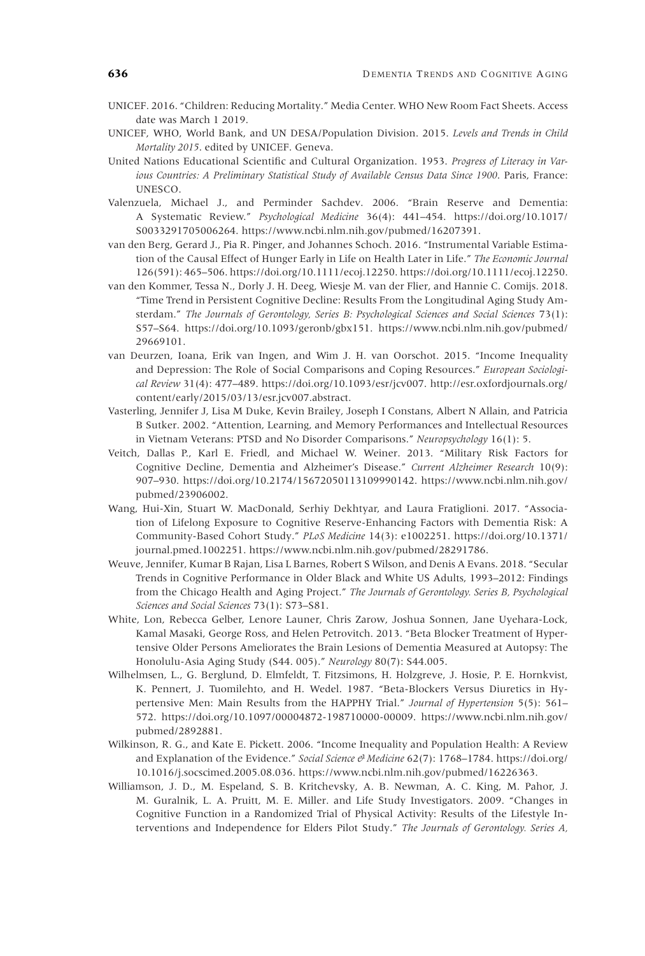- UNICEF. 2016. "Children: Reducing Mortality." Media Center. WHO New Room Fact Sheets. Access date was March 1 2019.
- UNICEF, WHO, World Bank, and UN DESA/Population Division. 2015. *Levels and Trends in Child Mortality 2015*. edited by UNICEF. Geneva.
- United Nations Educational Scientific and Cultural Organization. 1953. *Progress of Literacy in Various Countries: A Preliminary Statistical Study of Available Census Data Since 1900*. Paris, France: UNESCO.
- Valenzuela, Michael J., and Perminder Sachdev. 2006. "Brain Reserve and Dementia: A Systematic Review." *Psychological Medicine* 36(4): 441–454. [https://doi.org/10.1017/](https://doi.org/10.1017/S0033291705006264) [S0033291705006264.](https://doi.org/10.1017/S0033291705006264) [https://www.ncbi.nlm.nih.gov/pubmed/16207391.](https://www.ncbi.nlm.nih.gov/pubmed/16207391)
- van den Berg, Gerard J., Pia R. Pinger, and Johannes Schoch. 2016. "Instrumental Variable Estimation of the Causal Effect of Hunger Early in Life on Health Later in Life." *The Economic Journal* 126(591): 465–506. [https://doi.org/10.1111/ecoj.12250. https://doi.org/10.1111/ecoj.12250.](https://doi.org/10.1111/ecoj.12250)
- van den Kommer, Tessa N., Dorly J. H. Deeg, Wiesje M. van der Flier, and Hannie C. Comijs. 2018. "Time Trend in Persistent Cognitive Decline: Results From the Longitudinal Aging Study Amsterdam." *The Journals of Gerontology, Series B: Psychological Sciences and Social Sciences* 73(1): S57–S64. [https://doi.org/10.1093/geronb/gbx151.](https://doi.org/10.1093/geronb/gbx151) [https://www.ncbi.nlm.nih.gov/pubmed/](https://www.ncbi.nlm.nih.gov/pubmed/29669101) [29669101.](https://www.ncbi.nlm.nih.gov/pubmed/29669101)
- van Deurzen, Ioana, Erik van Ingen, and Wim J. H. van Oorschot. 2015. "Income Inequality and Depression: The Role of Social Comparisons and Coping Resources." *European Sociological Review* 31(4): 477–489. [https://doi.org/10.1093/esr/jcv007.](https://doi.org/10.1093/esr/jcv007) [http://esr.oxfordjournals.org/](http://esr.oxfordjournals.org/content/early/2015/03/13/esr.jcv007.abstract) [content/early/2015/03/13/esr.jcv007.abstract.](http://esr.oxfordjournals.org/content/early/2015/03/13/esr.jcv007.abstract)
- Vasterling, Jennifer J, Lisa M Duke, Kevin Brailey, Joseph I Constans, Albert N Allain, and Patricia B Sutker. 2002. "Attention, Learning, and Memory Performances and Intellectual Resources in Vietnam Veterans: PTSD and No Disorder Comparisons." *Neuropsychology* 16(1): 5.
- Veitch, Dallas P., Karl E. Friedl, and Michael W. Weiner. 2013. "Military Risk Factors for Cognitive Decline, Dementia and Alzheimer's Disease." *Current Alzheimer Research* 10(9): 907–930. [https://doi.org/10.2174/15672050113109990142.](https://doi.org/10.2174/15672050113109990142) [https://www.ncbi.nlm.nih.gov/](https://www.ncbi.nlm.nih.gov/pubmed/23906002) [pubmed/23906002.](https://www.ncbi.nlm.nih.gov/pubmed/23906002)
- Wang, Hui-Xin, Stuart W. MacDonald, Serhiy Dekhtyar, and Laura Fratiglioni. 2017. "Association of Lifelong Exposure to Cognitive Reserve-Enhancing Factors with Dementia Risk: A Community-Based Cohort Study." *PLoS Medicine* 14(3): e1002251. [https://doi.org/10.1371/](https://doi.org/10.1371/journal.pmed.1002251) [journal.pmed.1002251.](https://doi.org/10.1371/journal.pmed.1002251) [https://www.ncbi.nlm.nih.gov/pubmed/28291786.](https://www.ncbi.nlm.nih.gov/pubmed/28291786)
- Weuve, Jennifer, Kumar B Rajan, Lisa L Barnes, Robert S Wilson, and Denis A Evans. 2018. "Secular Trends in Cognitive Performance in Older Black and White US Adults, 1993–2012: Findings from the Chicago Health and Aging Project." *The Journals of Gerontology. Series B, Psychological Sciences and Social Sciences* 73(1): S73–S81.
- White, Lon, Rebecca Gelber, Lenore Launer, Chris Zarow, Joshua Sonnen, Jane Uyehara-Lock, Kamal Masaki, George Ross, and Helen Petrovitch. 2013. "Beta Blocker Treatment of Hypertensive Older Persons Ameliorates the Brain Lesions of Dementia Measured at Autopsy: The Honolulu-Asia Aging Study (S44. 005)." *Neurology* 80(7): S44.005.
- Wilhelmsen, L., G. Berglund, D. Elmfeldt, T. Fitzsimons, H. Holzgreve, J. Hosie, P. E. Hornkvist, K. Pennert, J. Tuomilehto, and H. Wedel. 1987. "Beta-Blockers Versus Diuretics in Hypertensive Men: Main Results from the HAPPHY Trial." *Journal of Hypertension* 5(5): 561– 572. [https://doi.org/10.1097/00004872-198710000-00009.](https://doi.org/10.1097/00004872-198710000-00009) [https://www.ncbi.nlm.nih.gov/](https://www.ncbi.nlm.nih.gov/pubmed/2892881) [pubmed/2892881.](https://www.ncbi.nlm.nih.gov/pubmed/2892881)
- Wilkinson, R. G., and Kate E. Pickett. 2006. "Income Inequality and Population Health: A Review and Explanation of the Evidence." *Social Science & Medicine* 62(7): 1768–1784. [https://doi.org/](https://doi.org/10.1016/j.socscimed.2005.08.036) [10.1016/j.socscimed.2005.08.036.](https://doi.org/10.1016/j.socscimed.2005.08.036) [https://www.ncbi.nlm.nih.gov/pubmed/16226363.](https://www.ncbi.nlm.nih.gov/pubmed/16226363)
- Williamson, J. D., M. Espeland, S. B. Kritchevsky, A. B. Newman, A. C. King, M. Pahor, J. M. Guralnik, L. A. Pruitt, M. E. Miller. and Life Study Investigators. 2009. "Changes in Cognitive Function in a Randomized Trial of Physical Activity: Results of the Lifestyle Interventions and Independence for Elders Pilot Study." *The Journals of Gerontology. Series A,*